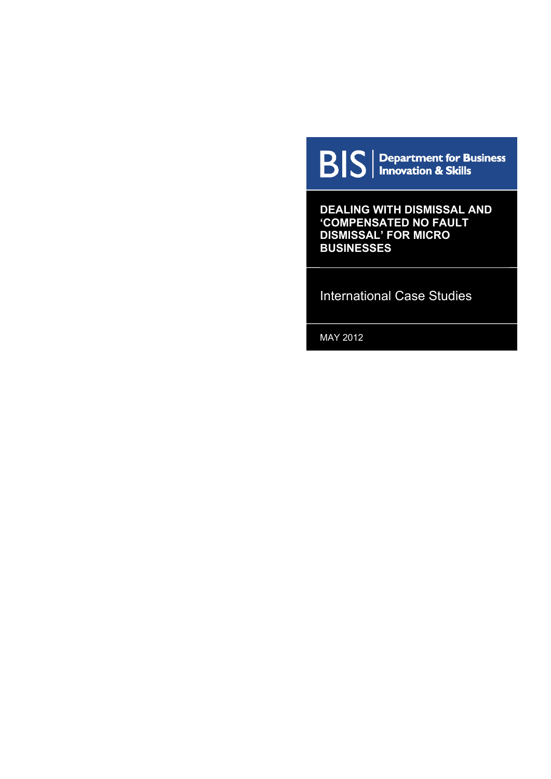**BIS** | Department for Business

**DEALING WITH DISMISSAL AND 'COMPENSATED NO FAULT DISMISSAL' FOR MICRO BUSINESSES** 

International Case Studies

MAY 2012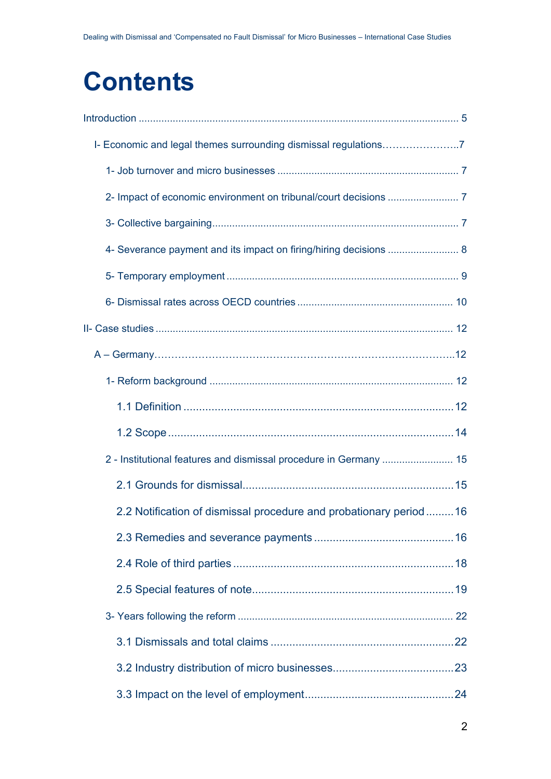# **Contents**

| 4- Severance payment and its impact on firing/hiring decisions  8   |  |
|---------------------------------------------------------------------|--|
|                                                                     |  |
|                                                                     |  |
|                                                                     |  |
|                                                                     |  |
|                                                                     |  |
|                                                                     |  |
|                                                                     |  |
|                                                                     |  |
|                                                                     |  |
| 2.2 Notification of dismissal procedure and probationary period  16 |  |
|                                                                     |  |
|                                                                     |  |
|                                                                     |  |
|                                                                     |  |
|                                                                     |  |
|                                                                     |  |
|                                                                     |  |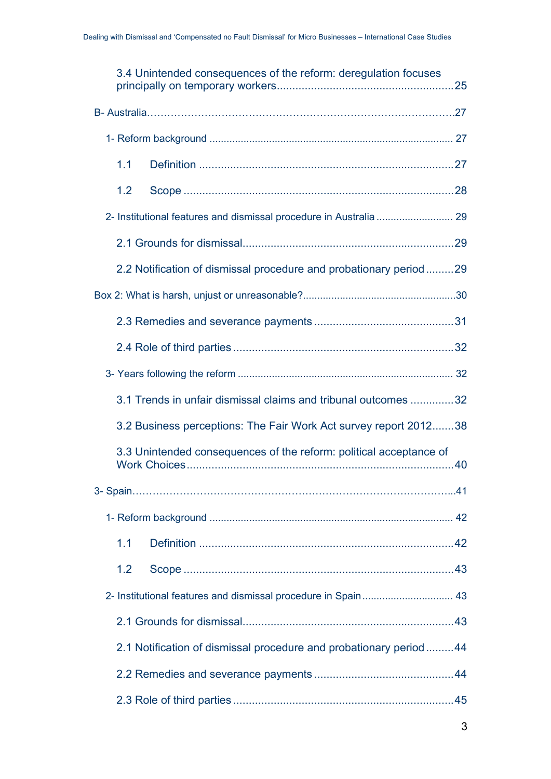| 3.4 Unintended consequences of the reform: deregulation focuses    |  |
|--------------------------------------------------------------------|--|
|                                                                    |  |
|                                                                    |  |
| 1.1                                                                |  |
| 1.2                                                                |  |
|                                                                    |  |
|                                                                    |  |
| 2.2 Notification of dismissal procedure and probationary period29  |  |
|                                                                    |  |
|                                                                    |  |
|                                                                    |  |
|                                                                    |  |
| 3.1 Trends in unfair dismissal claims and tribunal outcomes 32     |  |
| 3.2 Business perceptions: The Fair Work Act survey report 201238   |  |
| 3.3 Unintended consequences of the reform: political acceptance of |  |
|                                                                    |  |
|                                                                    |  |
| 1.1                                                                |  |
| 1.2                                                                |  |
|                                                                    |  |
|                                                                    |  |
| 2.1 Notification of dismissal procedure and probationary period44  |  |
|                                                                    |  |
|                                                                    |  |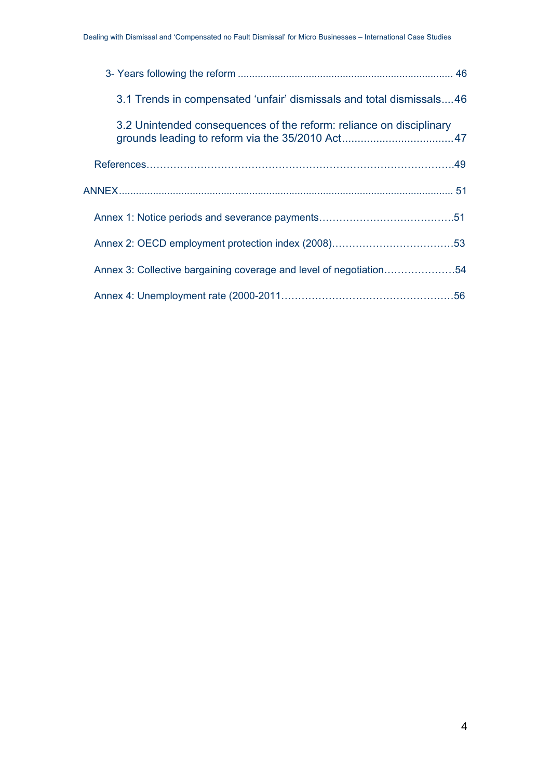| 3.1 Trends in compensated 'unfair' dismissals and total dismissals46 |  |
|----------------------------------------------------------------------|--|
| 3.2 Unintended consequences of the reform: reliance on disciplinary  |  |
|                                                                      |  |
|                                                                      |  |
|                                                                      |  |
|                                                                      |  |
| Annex 3: Collective bargaining coverage and level of negotiation54   |  |
|                                                                      |  |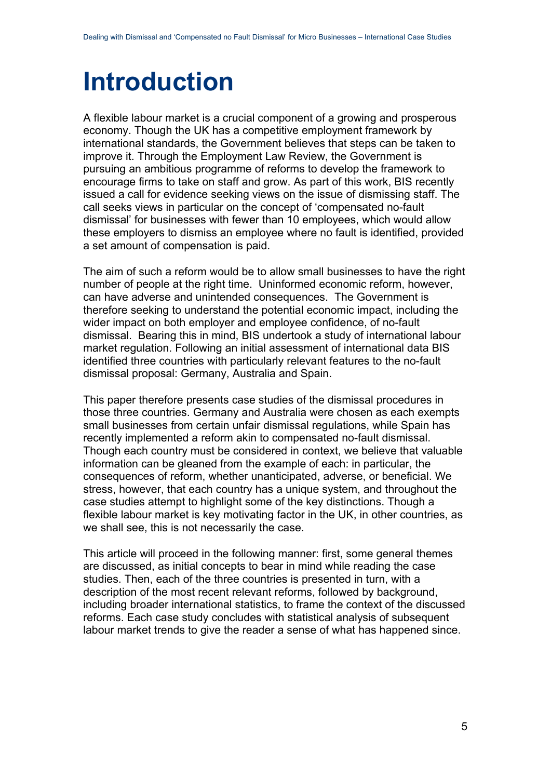# <span id="page-4-0"></span>**Introduction**

A flexible labour market is a crucial component of a growing and prosperous economy. Though the UK has a competitive employment framework by international standards, the Government believes that steps can be taken to improve it. Through the Employment Law Review, the Government is pursuing an ambitious programme of reforms to develop the framework to encourage firms to take on staff and grow. As part of this work, BIS recently issued a call for evidence seeking views on the issue of dismissing staff. The call seeks views in particular on the concept of 'compensated no-fault dismissal' for businesses with fewer than 10 employees, which would allow these employers to dismiss an employee where no fault is identified, provided a set amount of compensation is paid.

The aim of such a reform would be to allow small businesses to have the right number of people at the right time. Uninformed economic reform, however, can have adverse and unintended consequences. The Government is therefore seeking to understand the potential economic impact, including the wider impact on both employer and employee confidence, of no-fault dismissal. Bearing this in mind, BIS undertook a study of international labour market regulation. Following an initial assessment of international data BIS identified three countries with particularly relevant features to the no-fault dismissal proposal: Germany, Australia and Spain.

This paper therefore presents case studies of the dismissal procedures in those three countries. Germany and Australia were chosen as each exempts small businesses from certain unfair dismissal regulations, while Spain has recently implemented a reform akin to compensated no-fault dismissal. Though each country must be considered in context, we believe that valuable information can be gleaned from the example of each: in particular, the consequences of reform, whether unanticipated, adverse, or beneficial. We stress, however, that each country has a unique system, and throughout the case studies attempt to highlight some of the key distinctions. Though a flexible labour market is key motivating factor in the UK, in other countries, as we shall see, this is not necessarily the case.

This article will proceed in the following manner: first, some general themes are discussed, as initial concepts to bear in mind while reading the case studies. Then, each of the three countries is presented in turn, with a description of the most recent relevant reforms, followed by background, including broader international statistics, to frame the context of the discussed reforms. Each case study concludes with statistical analysis of subsequent labour market trends to give the reader a sense of what has happened since.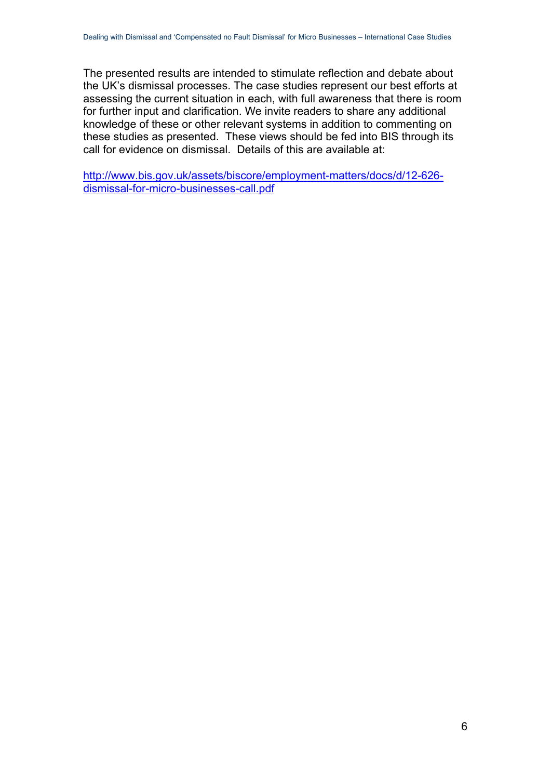The presented results are intended to stimulate reflection and debate about the UK's dismissal processes. The case studies represent our best efforts at assessing the current situation in each, with full awareness that there is room for further input and clarification. We invite readers to share any additional knowledge of these or other relevant systems in addition to commenting on these studies as presented. These views should be fed into BIS through its call for evidence on dismissal. Details of this are available at:

[http://www.bis.gov.uk/assets/biscore/employment-matters/docs/d/12-626](http://www.bis.gov.uk/assets/biscore/employment-matters/docs/d/12-626-dismissal-for-micro-businesses-call.pdf) [dismissal-for-micro-businesses-call.pdf](http://www.bis.gov.uk/assets/biscore/employment-matters/docs/d/12-626-dismissal-for-micro-businesses-call.pdf)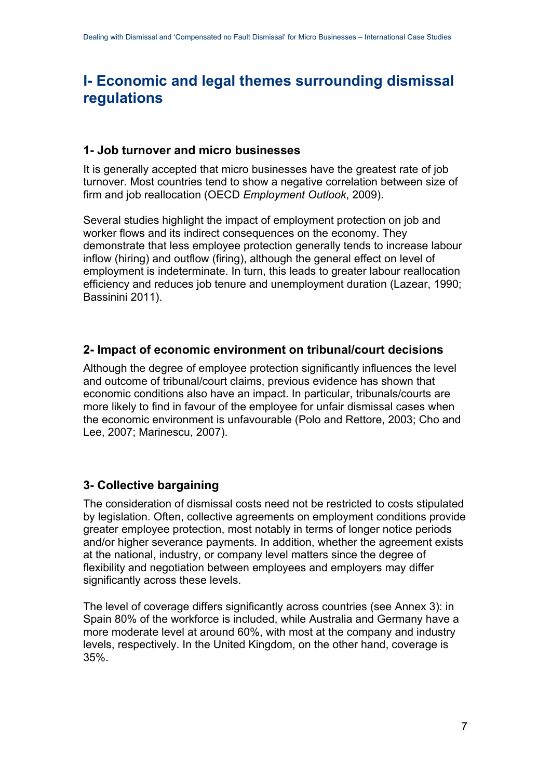# <span id="page-6-0"></span>**I- Economic and legal themes surrounding dismissal regulations**

## <span id="page-6-1"></span>**1- Job turnover and micro businesses**

It is generally accepted that micro businesses have the greatest rate of job turnover. Most countries tend to show a negative correlation between size of firm and job reallocation (OECD *Employment Outlook*, 2009).

Several studies highlight the impact of employment protection on job and worker flows and its indirect consequences on the economy. They demonstrate that less employee protection generally tends to increase labour inflow (hiring) and outflow (firing), although the general effect on level of employment is indeterminate. In turn, this leads to greater labour reallocation efficiency and reduces job tenure and unemployment duration (Lazear, 1990; Bassinini 2011).

## <span id="page-6-2"></span>**2- Impact of economic environment on tribunal/court decisions**

Although the degree of employee protection significantly influences the level and outcome of tribunal/court claims, previous evidence has shown that economic conditions also have an impact. In particular, tribunals/courts are more likely to find in favour of the employee for unfair dismissal cases when the economic environment is unfavourable (Polo and Rettore, 2003; Cho and Lee, 2007; Marinescu, 2007).

## <span id="page-6-3"></span>**3- Collective bargaining**

The consideration of dismissal costs need not be restricted to costs stipulated by legislation. Often, collective agreements on employment conditions provide greater employee protection, most notably in terms of longer notice periods and/or higher severance payments. In addition, whether the agreement exists at the national, industry, or company level matters since the degree of flexibility and negotiation between employees and employers may differ significantly across these levels.

The level of coverage differs significantly across countries (see Annex 3): in Spain 80% of the workforce is included, while Australia and Germany have a more moderate level at around 60%, with most at the company and industry levels, respectively. In the United Kingdom, on the other hand, coverage is 35%.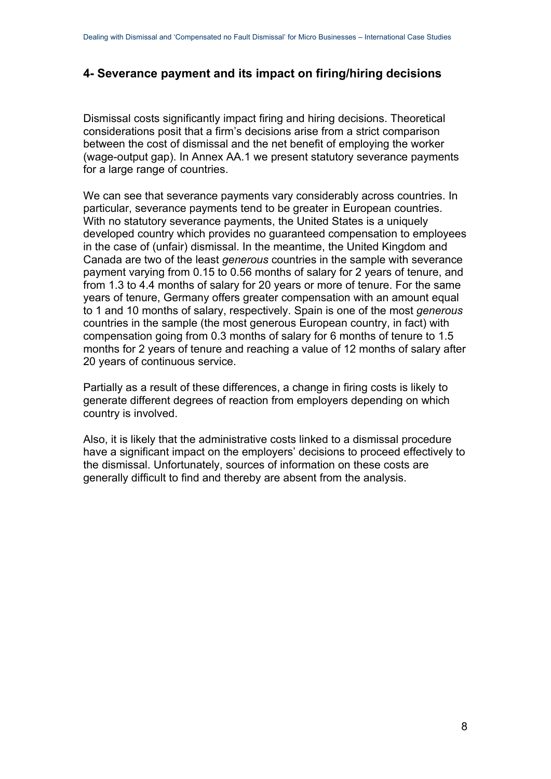## <span id="page-7-0"></span>**4- Severance payment and its impact on firing/hiring decisions**

Dismissal costs significantly impact firing and hiring decisions. Theoretical considerations posit that a firm's decisions arise from a strict comparison between the cost of dismissal and the net benefit of employing the worker (wage-output gap). In Annex AA.1 we present statutory severance payments for a large range of countries.

We can see that severance payments vary considerably across countries. In particular, severance payments tend to be greater in European countries. With no statutory severance payments, the United States is a uniquely developed country which provides no guaranteed compensation to employees in the case of (unfair) dismissal. In the meantime, the United Kingdom and Canada are two of the least *generous* countries in the sample with severance payment varying from 0.15 to 0.56 months of salary for 2 years of tenure, and from 1.3 to 4.4 months of salary for 20 years or more of tenure. For the same years of tenure, Germany offers greater compensation with an amount equal to 1 and 10 months of salary, respectively. Spain is one of the most *generous* countries in the sample (the most generous European country, in fact) with compensation going from 0.3 months of salary for 6 months of tenure to 1.5 months for 2 years of tenure and reaching a value of 12 months of salary after 20 years of continuous service.

Partially as a result of these differences, a change in firing costs is likely to generate different degrees of reaction from employers depending on which country is involved.

Also, it is likely that the administrative costs linked to a dismissal procedure have a significant impact on the employers' decisions to proceed effectively to the dismissal. Unfortunately, sources of information on these costs are generally difficult to find and thereby are absent from the analysis.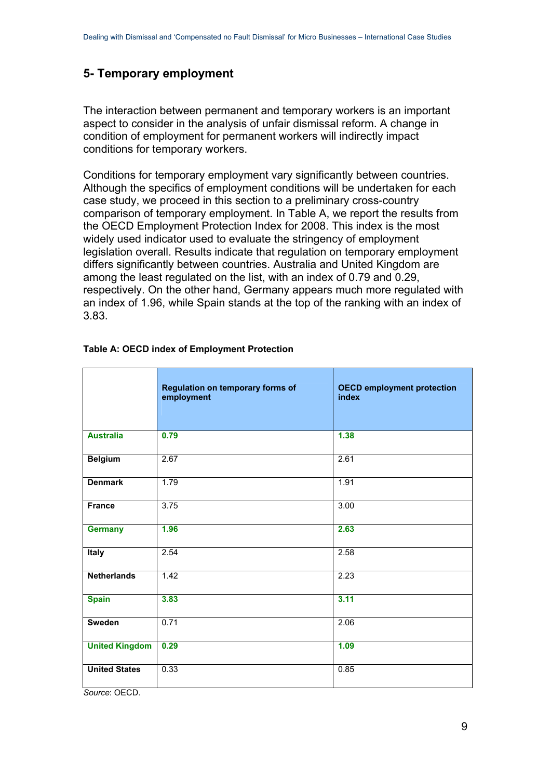## <span id="page-8-0"></span>**5- Temporary employment**

The interaction between permanent and temporary workers is an important aspect to consider in the analysis of unfair dismissal reform. A change in condition of employment for permanent workers will indirectly impact conditions for temporary workers.

Conditions for temporary employment vary significantly between countries. Although the specifics of employment conditions will be undertaken for each case study, we proceed in this section to a preliminary cross-country comparison of temporary employment. In Table A, we report the results from the OECD Employment Protection Index for 2008. This index is the most widely used indicator used to evaluate the stringency of employment legislation overall. Results indicate that regulation on temporary employment differs significantly between countries. Australia and United Kingdom are among the least regulated on the list, with an index of 0.79 and 0.29, respectively. On the other hand, Germany appears much more regulated with an index of 1.96, while Spain stands at the top of the ranking with an index of 3.83.

|                       | Regulation on temporary forms of<br>employment | <b>OECD employment protection</b><br>index |
|-----------------------|------------------------------------------------|--------------------------------------------|
| <b>Australia</b>      | 0.79                                           | 1.38                                       |
| <b>Belgium</b>        | 2.67                                           | 2.61                                       |
| <b>Denmark</b>        | 1.79                                           | 1.91                                       |
| <b>France</b>         | 3.75                                           | 3.00                                       |
| <b>Germany</b>        | 1.96                                           | 2.63                                       |
| <b>Italy</b>          | 2.54                                           | 2.58                                       |
| <b>Netherlands</b>    | 1.42                                           | 2.23                                       |
| <b>Spain</b>          | 3.83                                           | 3.11                                       |
| <b>Sweden</b>         | 0.71                                           | 2.06                                       |
| <b>United Kingdom</b> | 0.29                                           | 1.09                                       |
| <b>United States</b>  | 0.33                                           | 0.85                                       |

#### **Table A: OECD index of Employment Protection**

*Source*: OECD.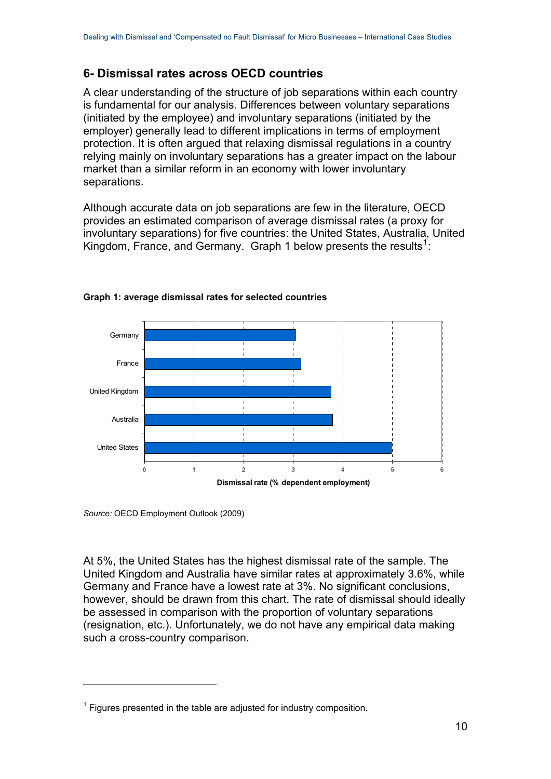## <span id="page-9-0"></span>**6- Dismissal rates across OECD countries**

A clear understanding of the structure of job separations within each country is fundamental for our analysis. Differences between voluntary separations (initiated by the employee) and involuntary separations (initiated by the employer) generally lead to different implications in terms of employment protection. It is often argued that relaxing dismissal regulations in a country relying mainly on involuntary separations has a greater impact on the labour market than a similar reform in an economy with lower involuntary separations.

Although accurate data on job separations are few in the literature, OECD provides an estimated comparison of average dismissal rates (a proxy for involuntary separations) for five countries: the United States, Australia, United Kingdom, France, and Germany. Graph [1](#page-9-1) below presents the results<sup>1</sup>:



#### **Graph 1: average dismissal rates for selected countries**

*Source:* OECD Employment Outlook (2009)

1

At 5%, the United States has the highest dismissal rate of the sample. The United Kingdom and Australia have similar rates at approximately 3.6%, while Germany and France have a lowest rate at 3%. No significant conclusions, however, should be drawn from this chart. The rate of dismissal should ideally be assessed in comparison with the proportion of voluntary separations (resignation, etc.). Unfortunately, we do not have any empirical data making such a cross-country comparison.

<span id="page-9-1"></span> $1$  Figures presented in the table are adjusted for industry composition.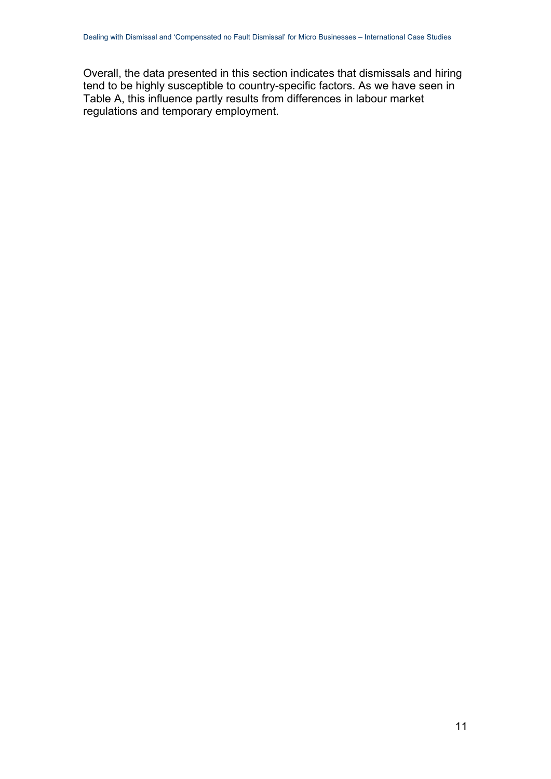Overall, the data presented in this section indicates that dismissals and hiring tend to be highly susceptible to country-specific factors. As we have seen in Table A, this influence partly results from differences in labour market regulations and temporary employment.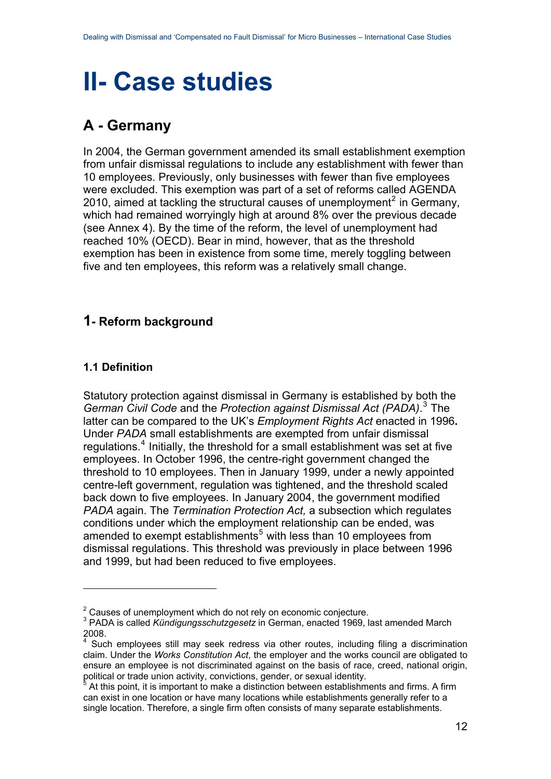# <span id="page-11-0"></span>**II- Case studies**

# <span id="page-11-1"></span>**A - Germany**

In 2004, the German government amended its small establishment exemption from unfair dismissal regulations to include any establishment with fewer than 10 employees. Previously, only businesses with fewer than five employees were excluded. This exemption was part of a set of reforms called AGENDA [2](#page-11-4)010, aimed at tackling the structural causes of unemployment<sup>2</sup> in Germany, which had remained worryingly high at around 8% over the previous decade (see Annex 4). By the time of the reform, the level of unemployment had reached 10% (OECD). Bear in mind, however, that as the threshold exemption has been in existence from some time, merely toggling between five and ten employees, this reform was a relatively small change.

## <span id="page-11-2"></span>**1- Reform background**

## <span id="page-11-3"></span>**1.1 Definition**

1

Statutory protection against dismissal in Germany is established by both the *German Civil Code* and the *Protection against Dismissal Act (PADA)*. [3](#page-11-5) The latter can be compared to the UK's *Employment Rights Act* enacted in 1996**.** Under *PADA* small establishments are exempted from unfair dismissal regulations.<sup>[4](#page-11-6)</sup> Initially, the threshold for a small establishment was set at five employees. In October 1996, the centre-right government changed the threshold to 10 employees. Then in January 1999, under a newly appointed centre-left government, regulation was tightened, and the threshold scaled back down to five employees. In January 2004, the government modified *PADA* again. The *Termination Protection Act,* a subsection which regulates conditions under which the employment relationship can be ended, was amended to exempt establishments<sup>[5](#page-11-7)</sup> with less than 10 employees from dismissal regulations. This threshold was previously in place between 1996 and 1999, but had been reduced to five employees.

 $2$  Causes of unemployment which do not rely on economic conjecture.

<span id="page-11-5"></span><span id="page-11-4"></span><sup>3</sup> PADA is called *Kündigungsschutzgesetz* in German, enacted 1969, last amended March 2008.

<span id="page-11-6"></span><sup>4</sup> Such employees still may seek redress via other routes, including filing a discrimination claim. Under the *Works Constitution Act*, the employer and the works council are obligated to ensure an employee is not discriminated against on the basis of race, creed, national origin, political or trade union activity, convictions, gender, or sexual identity.

<span id="page-11-7"></span>At this point, it is important to make a distinction between establishments and firms. A firm can exist in one location or have many locations while establishments generally refer to a single location. Therefore, a single firm often consists of many separate establishments.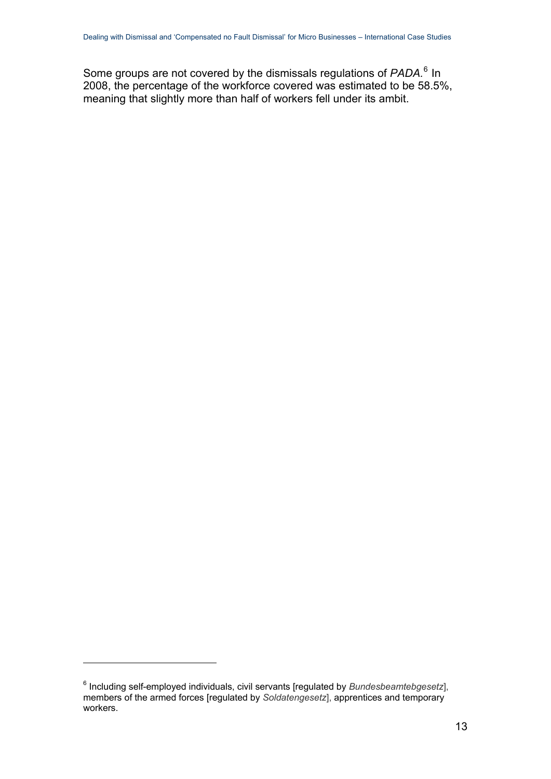Some groups are not covered by the dismissals regulations of PADA.<sup>[6](#page-12-0)</sup> In 2008, the percentage of the workforce covered was estimated to be 58.5%, meaning that slightly more than half of workers fell under its ambit.

<u>.</u>

<span id="page-12-0"></span><sup>6</sup> Including self-employed individuals, civil servants [regulated by *Bundesbeamtebgesetz*], members of the armed forces [regulated by *Soldatengesetz*], apprentices and temporary workers.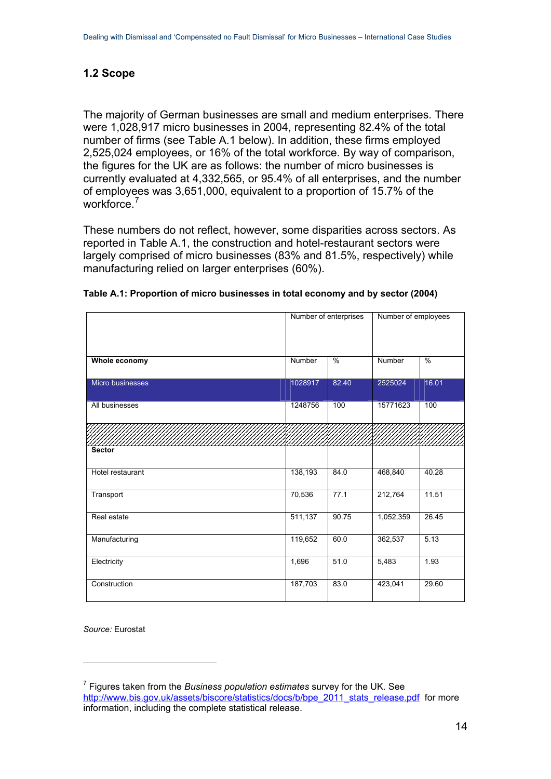## <span id="page-13-0"></span>**1.2 Scope**

The majority of German businesses are small and medium enterprises. There were 1,028,917 micro businesses in 2004, representing 82.4% of the total number of firms (see Table A.1 below). In addition, these firms employed 2,525,024 employees, or 16% of the total workforce. By way of comparison, the figures for the UK are as follows: the number of micro businesses is currently evaluated at 4,332,565, or 95.4% of all enterprises, and the number of employees was 3,651,000, equivalent to a proportion of 15.7% of the workforce.<sup>[7](#page-13-1)</sup>

These numbers do not reflect, however, some disparities across sectors. As reported in Table A.1, the construction and hotel-restaurant sectors were largely comprised of micro businesses (83% and 81.5%, respectively) while manufacturing relied on larger enterprises (60%).

|                  |         | Number of enterprises | Number of employees |               |  |
|------------------|---------|-----------------------|---------------------|---------------|--|
| Whole economy    | Number  | $\frac{0}{2}$         | Number              | $\frac{0}{2}$ |  |
| Micro businesses | 1028917 | 82.40                 | 2525024             | 16.01         |  |
| All businesses   | 1248756 | 100                   | 15771623            | 100           |  |
|                  |         |                       |                     |               |  |
| <b>Sector</b>    |         |                       |                     |               |  |
| Hotel restaurant | 138,193 | 84.0                  | 468,840             | 40.28         |  |
| Transport        | 70,536  | 77.1                  | 212,764             | 11.51         |  |
| Real estate      | 511,137 | 90.75                 | 1,052,359           | 26.45         |  |
| Manufacturing    | 119,652 | 60.0                  | 362,537             | 5.13          |  |
| Electricity      | 1,696   | 51.0                  | 5,483               | 1.93          |  |
| Construction     | 187,703 | 83.0                  | 423,041             | 29.60         |  |

|  |  | Table A.1: Proportion of micro businesses in total economy and by sector (2004) |
|--|--|---------------------------------------------------------------------------------|
|--|--|---------------------------------------------------------------------------------|

*Source:* Eurostat

<u>.</u>

<span id="page-13-1"></span><sup>7</sup> Figures taken from the *Business population estimates* survey for the UK. See [http://www.bis.gov.uk/assets/biscore/statistics/docs/b/bpe\\_2011\\_stats\\_release.pdf](http://www.bis.gov.uk/assets/biscore/statistics/docs/b/bpe_2011_stats_release.pdf) for more information, including the complete statistical release.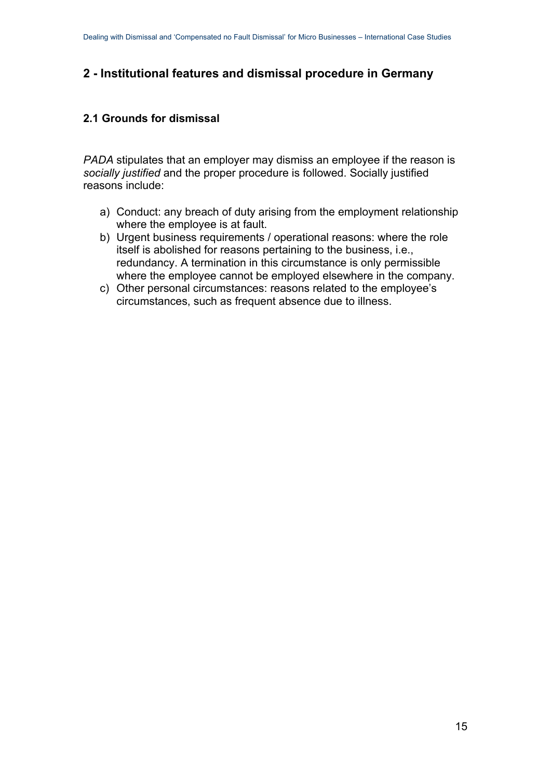## <span id="page-14-0"></span>**2 - Institutional features and dismissal procedure in Germany**

## <span id="page-14-1"></span>**2.1 Grounds for dismissal**

*PADA* stipulates that an employer may dismiss an employee if the reason is *socially justified* and the proper procedure is followed. Socially justified reasons include:

- a) Conduct: any breach of duty arising from the employment relationship where the employee is at fault.
- b) Urgent business requirements / operational reasons: where the role itself is abolished for reasons pertaining to the business, i.e., redundancy. A termination in this circumstance is only permissible where the employee cannot be employed elsewhere in the company.
- c) Other personal circumstances: reasons related to the employee's circumstances, such as frequent absence due to illness.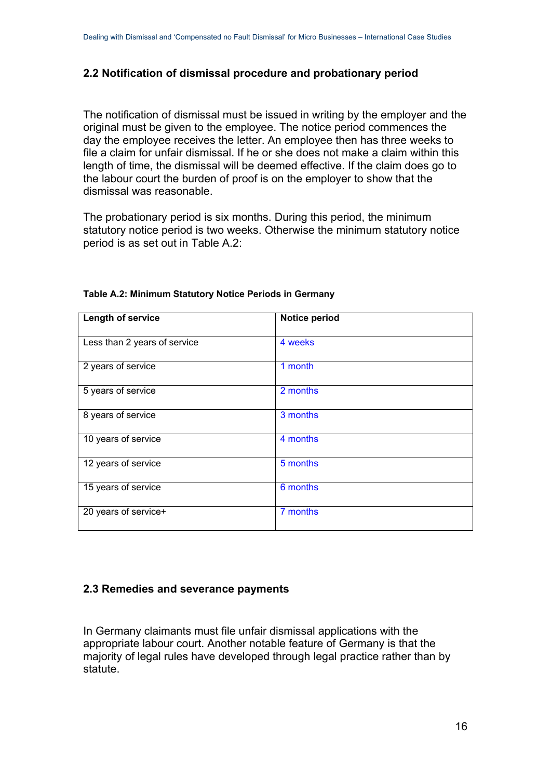### <span id="page-15-0"></span>**2.2 Notification of dismissal procedure and probationary period**

The notification of dismissal must be issued in writing by the employer and the original must be given to the employee. The notice period commences the day the employee receives the letter. An employee then has three weeks to file a claim for unfair dismissal. If he or she does not make a claim within this length of time, the dismissal will be deemed effective. If the claim does go to the labour court the burden of proof is on the employer to show that the dismissal was reasonable.

The probationary period is six months. During this period, the minimum statutory notice period is two weeks. Otherwise the minimum statutory notice period is as set out in Table A.2:

| Length of service            | Notice period |
|------------------------------|---------------|
|                              |               |
| Less than 2 years of service | 4 weeks       |
| 2 years of service           | 1 month       |
| 5 years of service           | 2 months      |
| 8 years of service           | 3 months      |
| 10 years of service          | 4 months      |
| 12 years of service          | 5 months      |
| 15 years of service          | 6 months      |
| 20 years of service+         | 7 months      |

#### **Table A.2: Minimum Statutory Notice Periods in Germany**

#### <span id="page-15-1"></span>**2.3 Remedies and severance payments**

In Germany claimants must file unfair dismissal applications with the appropriate labour court. Another notable feature of Germany is that the majority of legal rules have developed through legal practice rather than by statute.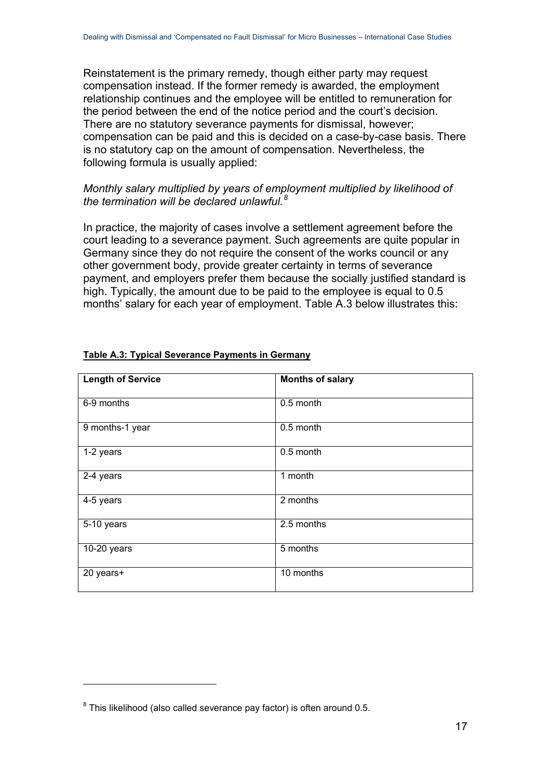Reinstatement is the primary remedy, though either party may request compensation instead. If the former remedy is awarded, the employment relationship continues and the employee will be entitled to remuneration for the period between the end of the notice period and the court's decision. There are no statutory severance payments for dismissal, however; compensation can be paid and this is decided on a case-by-case basis. There is no statutory cap on the amount of compensation. Nevertheless, the following formula is usually applied:

#### *Monthly salary multiplied by years of employment multiplied by likelihood of the termination will be declared unlawful.[8](#page-16-0)*

In practice, the majority of cases involve a settlement agreement before the court leading to a severance payment. Such agreements are quite popular in Germany since they do not require the consent of the works council or any other government body, provide greater certainty in terms of severance payment, and employers prefer them because the socially justified standard is high. Typically, the amount due to be paid to the employee is equal to 0.5 months' salary for each year of employment. Table A.3 below illustrates this:

| <b>Length of Service</b> | <b>Months of salary</b> |
|--------------------------|-------------------------|
| 6-9 months               | 0.5 month               |
| 9 months-1 year          | 0.5 month               |
| 1-2 years                | 0.5 month               |
| 2-4 years                | 1 month                 |
| 4-5 years                | 2 months                |
| 5-10 years               | 2.5 months              |
| 10-20 years              | 5 months                |
| 20 years+                | 10 months               |

#### **Table A.3: Typical Severance Payments in Germany**

<span id="page-16-0"></span> $8$  This likelihood (also called severance pay factor) is often around 0.5.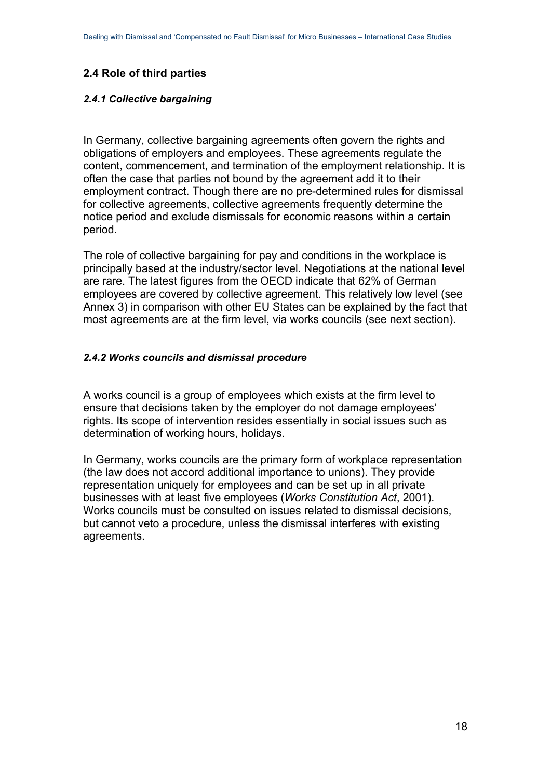## <span id="page-17-0"></span>**2.4 Role of third parties**

#### *2.4.1 Collective bargaining*

In Germany, collective bargaining agreements often govern the rights and obligations of employers and employees. These agreements regulate the content, commencement, and termination of the employment relationship. It is often the case that parties not bound by the agreement add it to their employment contract. Though there are no pre-determined rules for dismissal for collective agreements, collective agreements frequently determine the notice period and exclude dismissals for economic reasons within a certain period.

The role of collective bargaining for pay and conditions in the workplace is principally based at the industry/sector level. Negotiations at the national level are rare. The latest figures from the OECD indicate that 62% of German employees are covered by collective agreement. This relatively low level (see Annex 3) in comparison with other EU States can be explained by the fact that most agreements are at the firm level, via works councils (see next section).

#### *2.4.2 Works councils and dismissal procedure*

A works council is a group of employees which exists at the firm level to ensure that decisions taken by the employer do not damage employees' rights. Its scope of intervention resides essentially in social issues such as determination of working hours, holidays.

In Germany, works councils are the primary form of workplace representation (the law does not accord additional importance to unions). They provide representation uniquely for employees and can be set up in all private businesses with at least five employees (*Works Constitution Act*, 2001). Works councils must be consulted on issues related to dismissal decisions, but cannot veto a procedure, unless the dismissal interferes with existing agreements.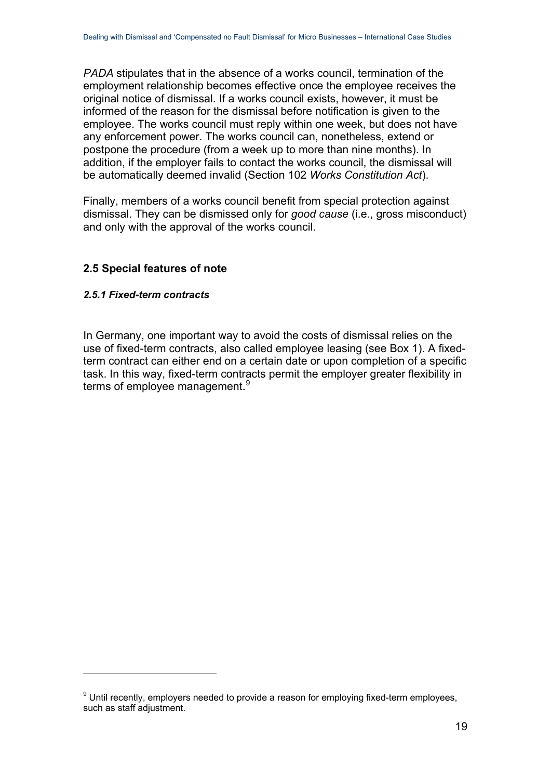*PADA* stipulates that in the absence of a works council, termination of the employment relationship becomes effective once the employee receives the original notice of dismissal. If a works council exists, however, it must be informed of the reason for the dismissal before notification is given to the employee. The works council must reply within one week, but does not have any enforcement power. The works council can, nonetheless, extend or postpone the procedure (from a week up to more than nine months). In addition, if the employer fails to contact the works council, the dismissal will be automatically deemed invalid (Section 102 *Works Constitution Act*).

Finally, members of a works council benefit from special protection against dismissal. They can be dismissed only for *good cause* (i.e., gross misconduct) and only with the approval of the works council.

### <span id="page-18-0"></span>**2.5 Special features of note**

#### *2.5.1 Fixed-term contracts*

1

In Germany, one important way to avoid the costs of dismissal relies on the use of fixed-term contracts, also called employee leasing (see Box 1). A fixedterm contract can either end on a certain date or upon completion of a specific task. In this way, fixed-term contracts permit the employer greater flexibility in terms of employee management.<sup>[9](#page-18-1)</sup>

<span id="page-18-1"></span> $9$  Until recently, employers needed to provide a reason for employing fixed-term employees, such as staff adjustment.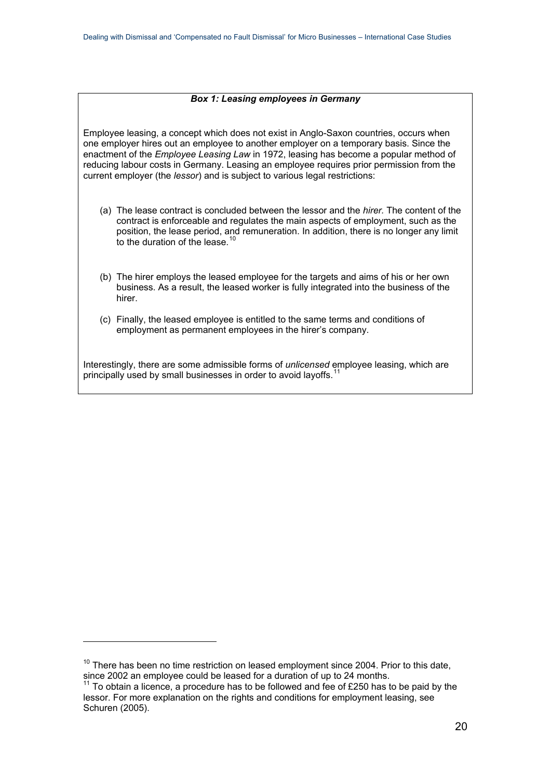#### *Box 1: Leasing employees in Germany*

Employee leasing, a concept which does not exist in Anglo-Saxon countries, occurs when one employer hires out an employee to another employer on a temporary basis. Since the enactment of the *Employee Leasing Law* in 1972, leasing has become a popular method of reducing labour costs in Germany. Leasing an employee requires prior permission from the current employer (the *lessor*) and is subject to various legal restrictions:

- (a) The lease contract is concluded between the lessor and the *hirer.* The content of the contract is enforceable and regulates the main aspects of employment, such as the position, the lease period, and remuneration. In addition, there is no longer any limit to the duration of the lease.<sup>[10](#page-19-0)</sup>
- (b) The hirer employs the leased employee for the targets and aims of his or her own business. As a result, the leased worker is fully integrated into the business of the hirer.
- (c) Finally, the leased employee is entitled to the same terms and conditions of employment as permanent employees in the hirer's company.

Interestingly, there are some admissible forms of *unlicensed* employee leasing, which are principally used by small businesses in order to avoid layoffs.<sup>[11](#page-19-1)</sup>

<span id="page-19-0"></span> $10$  There has been no time restriction on leased employment since 2004. Prior to this date, since 2002 an employee could be leased for a duration of up to 24 months.

<span id="page-19-1"></span> $11$  To obtain a licence, a procedure has to be followed and fee of £250 has to be paid by the lessor. For more explanation on the rights and conditions for employment leasing, see Schuren (2005).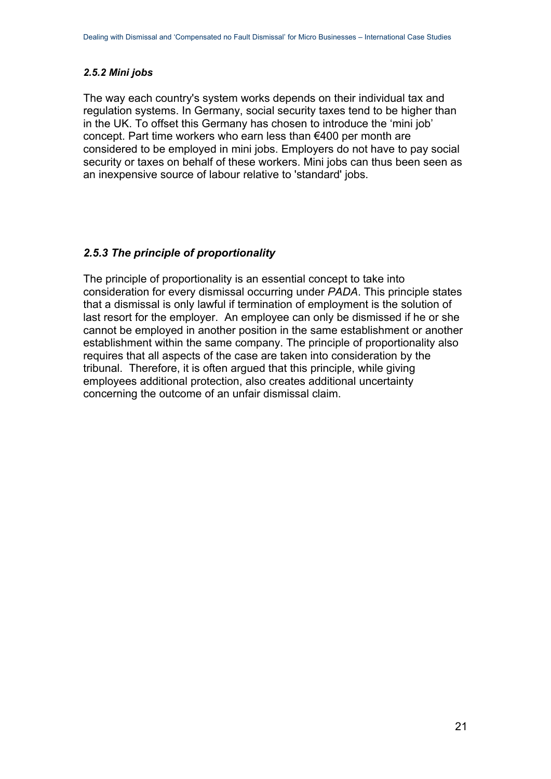#### *2.5.2 Mini jobs*

The way each country's system works depends on their individual tax and regulation systems. In Germany, social security taxes tend to be higher than in the UK. To offset this Germany has chosen to introduce the 'mini job' concept. Part time workers who earn less than €400 per month are considered to be employed in mini jobs. Employers do not have to pay social security or taxes on behalf of these workers. Mini jobs can thus been seen as an inexpensive source of labour relative to 'standard' jobs.

### *2.5.3 The principle of proportionality*

The principle of proportionality is an essential concept to take into consideration for every dismissal occurring under *PADA*. This principle states that a dismissal is only lawful if termination of employment is the solution of last resort for the employer. An employee can only be dismissed if he or she cannot be employed in another position in the same establishment or another establishment within the same company. The principle of proportionality also requires that all aspects of the case are taken into consideration by the tribunal. Therefore, it is often argued that this principle, while giving employees additional protection, also creates additional uncertainty concerning the outcome of an unfair dismissal claim.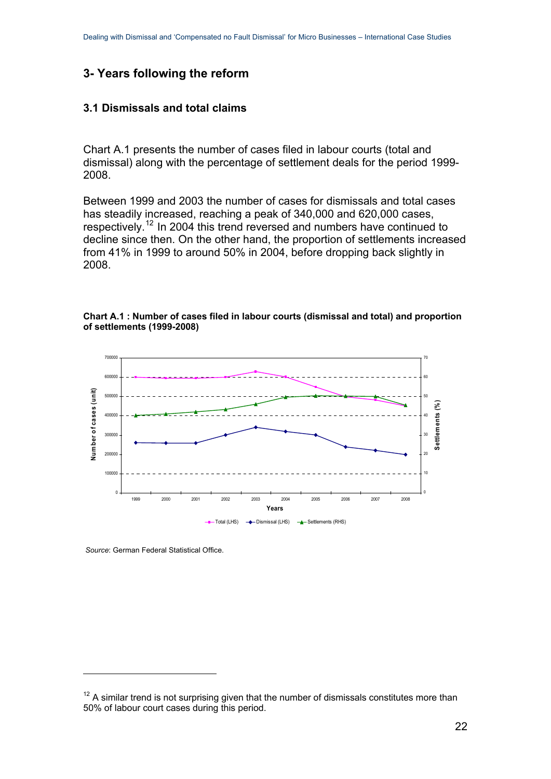## <span id="page-21-0"></span>**3- Years following the reform**

#### <span id="page-21-1"></span>**3.1 Dismissals and total claims**

Chart A.1 presents the number of cases filed in labour courts (total and dismissal) along with the percentage of settlement deals for the period 1999- 2008.

Between 1999 and 2003 the number of cases for dismissals and total cases has steadily increased, reaching a peak of 340,000 and 620,000 cases, respectively.[12](#page-21-2) In 2004 this trend reversed and numbers have continued to decline since then. On the other hand, the proportion of settlements increased from 41% in 1999 to around 50% in 2004, before dropping back slightly in 2008.





 *Source*: German Federal Statistical Office.

<span id="page-21-2"></span> $12$  A similar trend is not surprising given that the number of dismissals constitutes more than 50% of labour court cases during this period.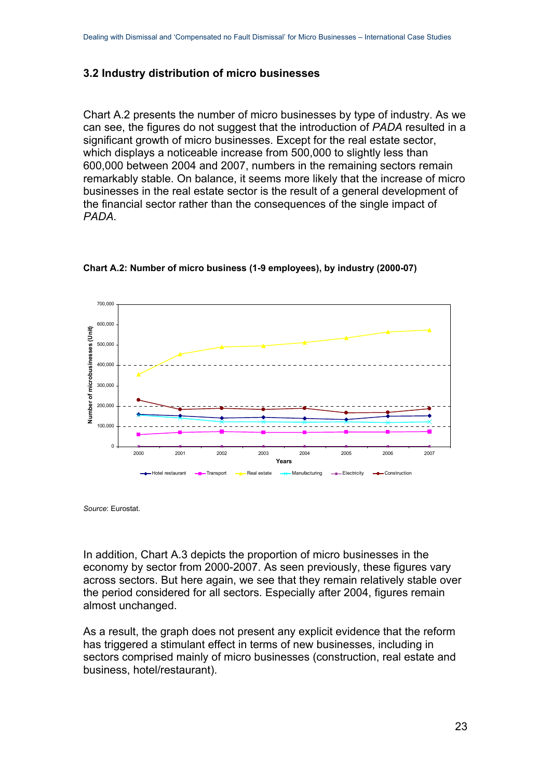### <span id="page-22-0"></span>**3.2 Industry distribution of micro businesses**

Chart A.2 presents the number of micro businesses by type of industry. As we can see, the figures do not suggest that the introduction of *PADA* resulted in a significant growth of micro businesses. Except for the real estate sector, which displays a noticeable increase from 500,000 to slightly less than 600,000 between 2004 and 2007, numbers in the remaining sectors remain remarkably stable. On balance, it seems more likely that the increase of micro businesses in the real estate sector is the result of a general development of the financial sector rather than the consequences of the single impact of *PADA*.



**Chart A.2: Number of micro business (1-9 employees), by industry (2000-07)** 

*Source*: Eurostat.

In addition, Chart A.3 depicts the proportion of micro businesses in the economy by sector from 2000-2007. As seen previously, these figures vary across sectors. But here again, we see that they remain relatively stable over the period considered for all sectors. Especially after 2004, figures remain almost unchanged.

As a result, the graph does not present any explicit evidence that the reform has triggered a stimulant effect in terms of new businesses, including in sectors comprised mainly of micro businesses (construction, real estate and business, hotel/restaurant).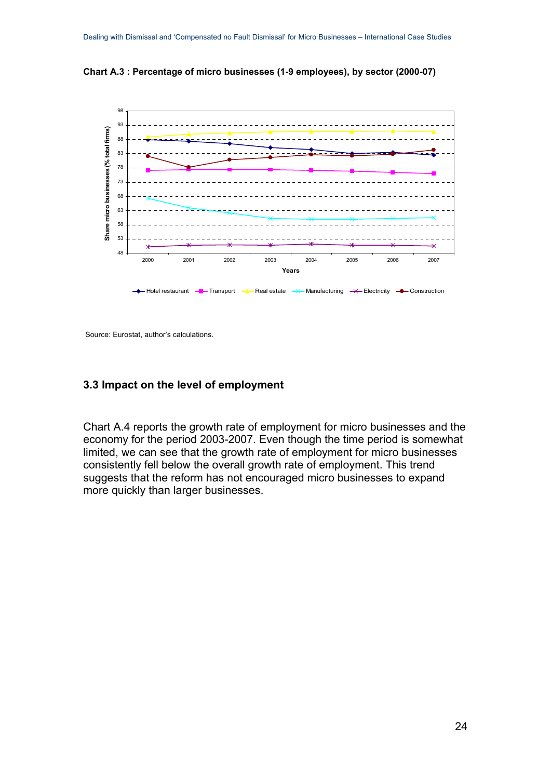



Source: Eurostat, author's calculations.

#### <span id="page-23-0"></span>**3.3 Impact on the level of employment**

Chart A.4 reports the growth rate of employment for micro businesses and the economy for the period 2003-2007. Even though the time period is somewhat limited, we can see that the growth rate of employment for micro businesses consistently fell below the overall growth rate of employment. This trend suggests that the reform has not encouraged micro businesses to expand more quickly than larger businesses.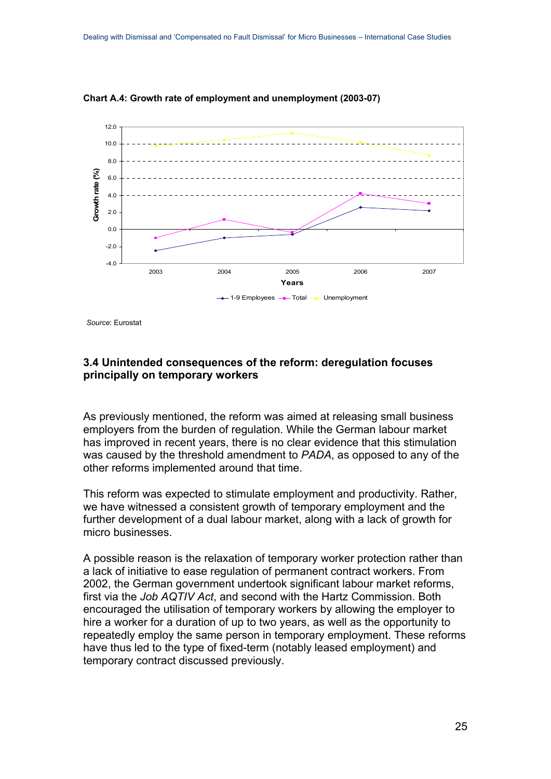

**Chart A.4: Growth rate of employment and unemployment (2003-07)**

*Source*: Eurostat

#### <span id="page-24-0"></span>**3.4 Unintended consequences of the reform: deregulation focuses principally on temporary workers**

As previously mentioned, the reform was aimed at releasing small business employers from the burden of regulation. While the German labour market has improved in recent years, there is no clear evidence that this stimulation was caused by the threshold amendment to *PADA*, as opposed to any of the other reforms implemented around that time.

This reform was expected to stimulate employment and productivity. Rather, we have witnessed a consistent growth of temporary employment and the further development of a dual labour market, along with a lack of growth for micro businesses.

A possible reason is the relaxation of temporary worker protection rather than a lack of initiative to ease regulation of permanent contract workers. From 2002, the German government undertook significant labour market reforms, first via the *Job AQTIV Act*, and second with the Hartz Commission. Both encouraged the utilisation of temporary workers by allowing the employer to hire a worker for a duration of up to two years, as well as the opportunity to repeatedly employ the same person in temporary employment. These reforms have thus led to the type of fixed-term (notably leased employment) and temporary contract discussed previously.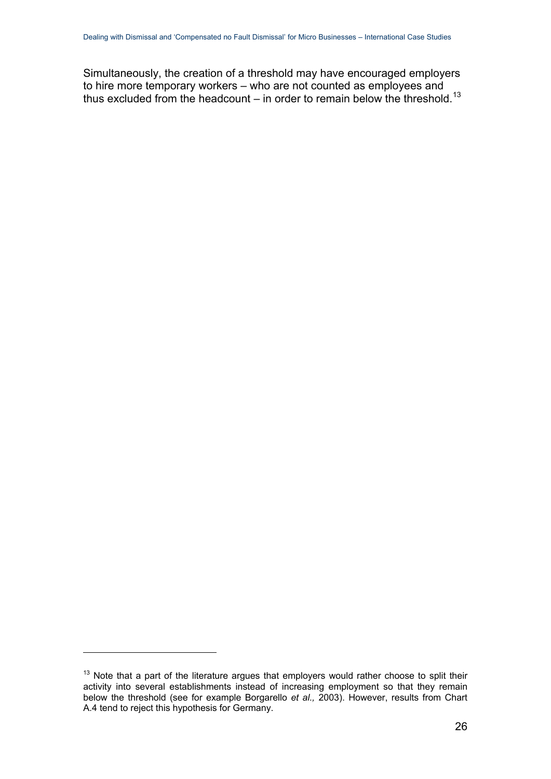Simultaneously, the creation of a threshold may have encouraged employers to hire more temporary workers – who are not counted as employees and thus excluded from the headcount – in order to remain below the threshold.<sup>[13](#page-25-0)</sup>

<span id="page-25-0"></span> $13$  Note that a part of the literature argues that employers would rather choose to split their activity into several establishments instead of increasing employment so that they remain below the threshold (see for example Borgarello *et al.,* 2003). However, results from Chart A.4 tend to reject this hypothesis for Germany.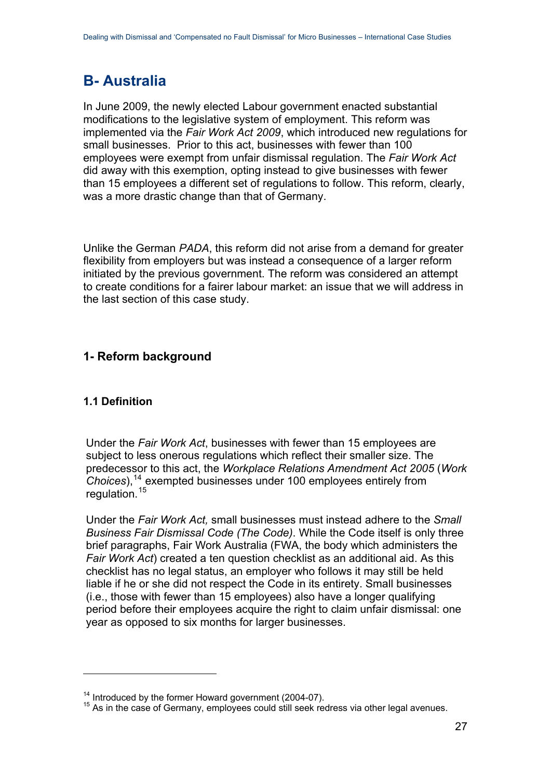# <span id="page-26-0"></span>**B- Australia**

In June 2009, the newly elected Labour government enacted substantial modifications to the legislative system of employment. This reform was implemented via the *Fair Work Act 2009*, which introduced new regulations for small businesses. Prior to this act, businesses with fewer than 100 employees were exempt from unfair dismissal regulation. The *Fair Work Act* did away with this exemption, opting instead to give businesses with fewer than 15 employees a different set of regulations to follow. This reform, clearly, was a more drastic change than that of Germany.

Unlike the German *PADA*, this reform did not arise from a demand for greater flexibility from employers but was instead a consequence of a larger reform initiated by the previous government. The reform was considered an attempt to create conditions for a fairer labour market: an issue that we will address in the last section of this case study.

## <span id="page-26-1"></span>**1- Reform background**

## <span id="page-26-2"></span>**1.1 Definition**

1

Under the *Fair Work Act*, businesses with fewer than 15 employees are subject to less onerous regulations which reflect their smaller size. The predecessor to this act, the *Workplace Relations Amendment Act 2005* (*Work Choices*),[14](#page-26-3) exempted businesses under 100 employees entirely from regulation.<sup>[15](#page-26-4)</sup>

Under the *Fair Work Act,* small businesses must instead adhere to the *Small Business Fair Dismissal Code (The Code)*. While the Code itself is only three brief paragraphs, Fair Work Australia (FWA, the body which administers the *Fair Work Act*) created a ten question checklist as an additional aid. As this checklist has no legal status, an employer who follows it may still be held liable if he or she did not respect the Code in its entirety. Small businesses (i.e., those with fewer than 15 employees) also have a longer qualifying period before their employees acquire the right to claim unfair dismissal: one year as opposed to six months for larger businesses.

<span id="page-26-4"></span><span id="page-26-3"></span><sup>&</sup>lt;sup>14</sup> Introduced by the former Howard government (2004-07).<br><sup>15</sup> As in the case of Germany, employees could still seek redress via other legal avenues.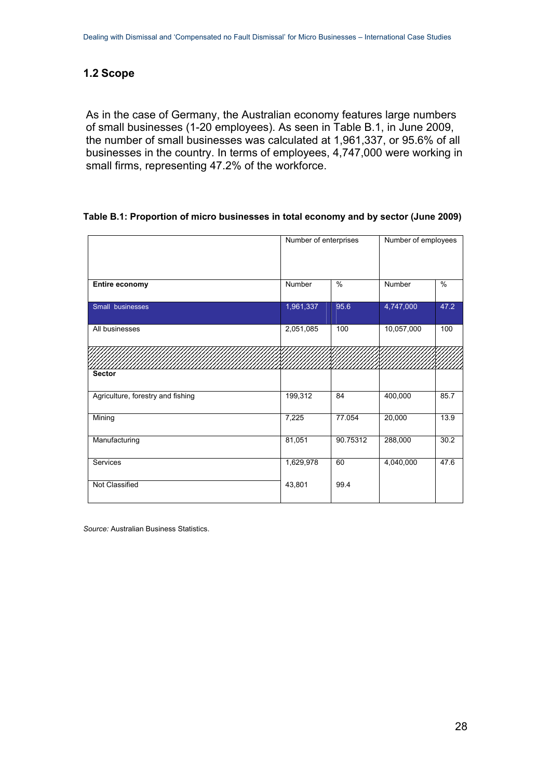## <span id="page-27-0"></span>**1.2 Scope**

As in the case of Germany, the Australian economy features large numbers of small businesses (1-20 employees). As seen in Table B.1, in June 2009, the number of small businesses was calculated at 1,961,337, or 95.6% of all businesses in the country. In terms of employees, 4,747,000 were working in small firms, representing 47.2% of the workforce.

#### **Table B.1: Proportion of micro businesses in total economy and by sector (June 2009)**

|                                   | Number of enterprises |          | Number of employees |               |  |
|-----------------------------------|-----------------------|----------|---------------------|---------------|--|
| Entire economy                    | Number                | $\%$     | Number              | $\frac{0}{6}$ |  |
| Small businesses                  | 1,961,337             | 95.6     | 4,747,000           | 47.2          |  |
| All businesses                    | 2,051,085             | 100      | 10,057,000          | 100           |  |
|                                   |                       |          |                     |               |  |
| <b>Sector</b>                     |                       |          |                     |               |  |
| Agriculture, forestry and fishing | 199,312               | 84       | 400,000             | 85.7          |  |
| Mining                            | 7,225                 | 77.054   | 20,000              | 13.9          |  |
| Manufacturing                     | 81,051                | 90.75312 | 288,000             | 30.2          |  |
| Services                          | 1,629,978             | 60       | 4,040,000           | 47.6          |  |
| Not Classified                    | 43,801                | 99.4     |                     |               |  |

*Source:* Australian Business Statistics.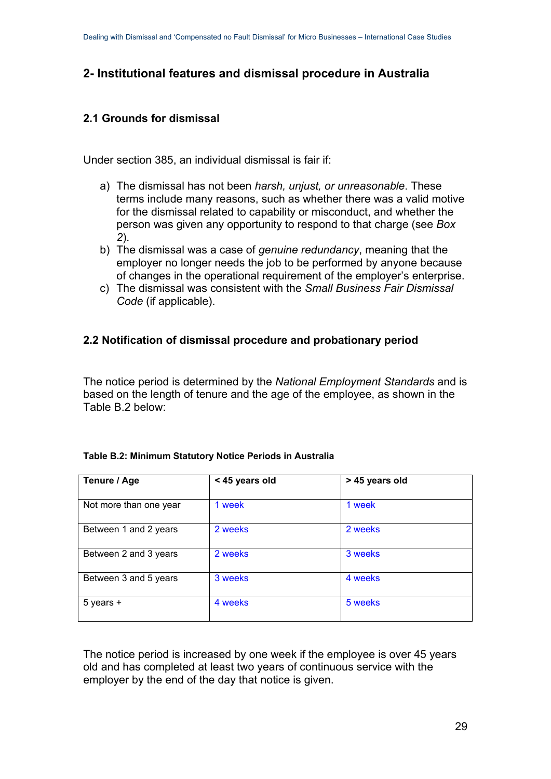## <span id="page-28-0"></span>**2- Institutional features and dismissal procedure in Australia**

## <span id="page-28-1"></span>**2.1 Grounds for dismissal**

Under section 385, an individual dismissal is fair if:

- a) The dismissal has not been *harsh, unjust, or unreasonable*. These terms include many reasons, such as whether there was a valid motive for the dismissal related to capability or misconduct, and whether the person was given any opportunity to respond to that charge (see *Box 2*).
- b) The dismissal was a case of *genuine redundancy*, meaning that the employer no longer needs the job to be performed by anyone because of changes in the operational requirement of the employer's enterprise.
- c) The dismissal was consistent with the *Small Business Fair Dismissal Code* (if applicable).

### <span id="page-28-2"></span>**2.2 Notification of dismissal procedure and probationary period**

The notice period is determined by the *National Employment Standards* and is based on the length of tenure and the age of the employee, as shown in the Table B.2 below:

|  |  |  | Table B.2: Minimum Statutory Notice Periods in Australia |
|--|--|--|----------------------------------------------------------|
|  |  |  |                                                          |

| Tenure / Age           | < 45 years old | > 45 years old |  |  |
|------------------------|----------------|----------------|--|--|
|                        |                |                |  |  |
| Not more than one year | 1 week         | 1 week         |  |  |
| Between 1 and 2 years  | 2 weeks        | 2 weeks        |  |  |
| Between 2 and 3 years  | 2 weeks        | 3 weeks        |  |  |
| Between 3 and 5 years  | 3 weeks        | 4 weeks        |  |  |
| $5$ years $+$          | 4 weeks        | 5 weeks        |  |  |

The notice period is increased by one week if the employee is over 45 years old and has completed at least two years of continuous service with the employer by the end of the day that notice is given.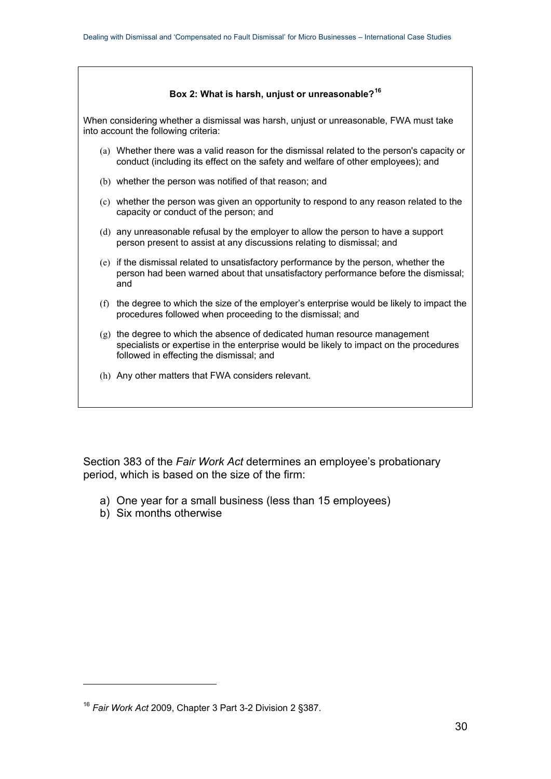#### **Box 2: What is harsh, unjust or unreasonable?[16](#page-29-1)**

<span id="page-29-0"></span>When considering whether a dismissal was harsh, unjust or unreasonable, FWA must take into account the following criteria:

- (a) Whether there was a valid reason for the dismissal related to the person's capacity or conduct (including its effect on the safety and welfare of other employees); and
- (b) whether the person was notified of that reason; and
- (c) whether the person was given an opportunity to respond to any reason related to the capacity or conduct of the person; and
- (d) any unreasonable refusal by the employer to allow the person to have a support person present to assist at any discussions relating to dismissal; and
- (e) if the dismissal related to unsatisfactory performance by the person, whether the person had been warned about that unsatisfactory performance before the dismissal; and
- (f) the degree to which the size of the employer's enterprise would be likely to impact the procedures followed when proceeding to the dismissal; and
- (g) the degree to which the absence of dedicated human resource management specialists or expertise in the enterprise would be likely to impact on the procedures followed in effecting the dismissal; and
- (h) Any other matters that FWA considers relevant.

Section 383 of the *Fair Work Act* determines an employee's probationary period, which is based on the size of the firm:

- a) One year for a small business (less than 15 employees)
- b) Six months otherwise

<span id="page-29-1"></span><sup>16</sup> *Fair Work Act* 2009, Chapter 3 Part 3-2 Division 2 §387.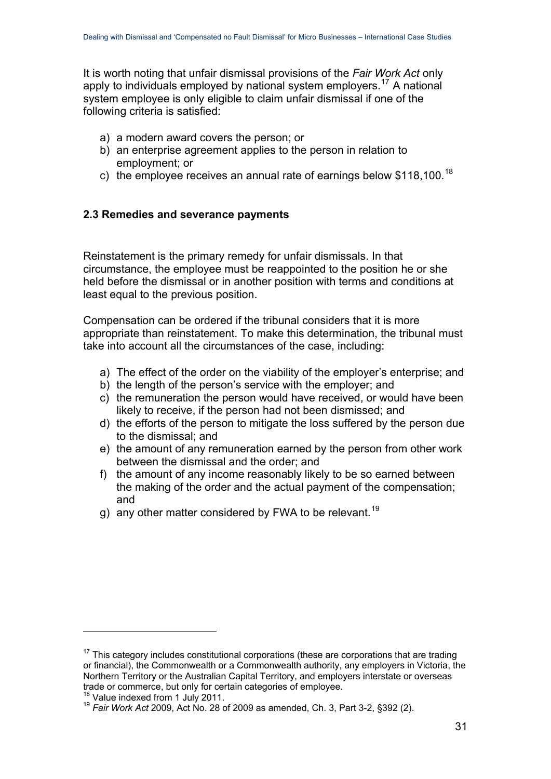It is worth noting that unfair dismissal provisions of the *Fair Work Act* only apply to individuals employed by national system employers.<sup>[17](#page-30-1)</sup> A national system employee is only eligible to claim unfair dismissal if one of the following criteria is satisfied:

- a) a modern award covers the person; or
- b) an enterprise agreement applies to the person in relation to employment; or
- c) the employee receives an annual rate of earnings below \$1[18](#page-30-2),100.<sup>18</sup>

## <span id="page-30-0"></span>**2.3 Remedies and severance payments**

Reinstatement is the primary remedy for unfair dismissals. In that circumstance, the employee must be reappointed to the position he or she held before the dismissal or in another position with terms and conditions at least equal to the previous position.

Compensation can be ordered if the tribunal considers that it is more appropriate than reinstatement. To make this determination, the tribunal must take into account all the circumstances of the case, including:

- a) The effect of the order on the viability of the employer's enterprise; and
- b) the length of the person's service with the employer; and
- c) the remuneration the person would have received, or would have been likely to receive, if the person had not been dismissed; and
- d) the efforts of the person to mitigate the loss suffered by the person due to the dismissal; and
- e) the amount of any remuneration earned by the person from other work between the dismissal and the order; and
- f) the amount of any income reasonably likely to be so earned between the making of the order and the actual payment of the compensation; and
- g) any other matter considered by FWA to be relevant.<sup>[19](#page-30-3)</sup>

<span id="page-30-1"></span> $17$  This category includes constitutional corporations (these are corporations that are trading or financial), the Commonwealth or a Commonwealth authority, any employers in Victoria, the Northern Territory or the Australian Capital Territory, and employers interstate or overseas trade or commerce, but only for certain categories of employee.<br><sup>18</sup> Value indexed from 1 July 2011.<br><sup>19</sup> *Fair Work Act* 2009, Act No. 28 of 2009 as amended, Ch. 3, Part 3-2, §392 (2).

<span id="page-30-2"></span>

<span id="page-30-3"></span>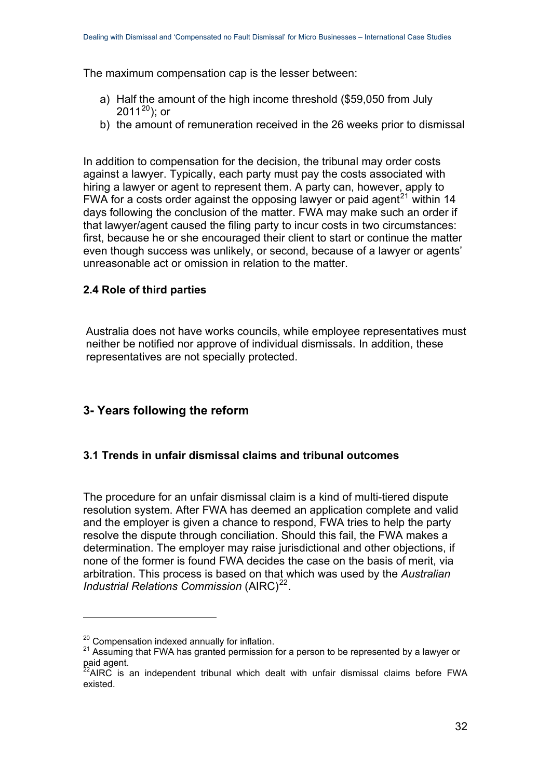The maximum compensation cap is the lesser between:

- a) Half the amount of the high income threshold (\$59,050 from July [20](#page-31-3)11 $^{20}$ ); or
- b) the amount of remuneration received in the 26 weeks prior to dismissal

In addition to compensation for the decision, the tribunal may order costs against a lawyer. Typically, each party must pay the costs associated with hiring a lawyer or agent to represent them. A party can, however, apply to FWA for a costs order against the opposing lawyer or paid agent<sup>[21](#page-31-4)</sup> within 14 days following the conclusion of the matter. FWA may make such an order if that lawyer/agent caused the filing party to incur costs in two circumstances: first, because he or she encouraged their client to start or continue the matter even though success was unlikely, or second, because of a lawyer or agents' unreasonable act or omission in relation to the matter.

### <span id="page-31-0"></span>**2.4 Role of third parties**

Australia does not have works councils, while employee representatives must neither be notified nor approve of individual dismissals. In addition, these representatives are not specially protected.

## <span id="page-31-1"></span>**3- Years following the reform**

#### <span id="page-31-2"></span>**3.1 Trends in unfair dismissal claims and tribunal outcomes**

The procedure for an unfair dismissal claim is a kind of multi-tiered dispute resolution system. After FWA has deemed an application complete and valid and the employer is given a chance to respond, FWA tries to help the party resolve the dispute through conciliation. Should this fail, the FWA makes a determination. The employer may raise jurisdictional and other objections, if none of the former is found FWA decides the case on the basis of merit, via arbitration. This process is based on that which was used by the *Australian Industrial Relations Commission* (AIRC)<sup>[22](#page-31-5)</sup>.

<span id="page-31-4"></span><span id="page-31-3"></span><sup>&</sup>lt;sup>20</sup> Compensation indexed annually for inflation.<br><sup>21</sup> Assuming that FWA has granted permission for a person to be represented by a lawyer or paid agent.

<span id="page-31-5"></span> $^{22}$ AIRC is an independent tribunal which dealt with unfair dismissal claims before FWA existed.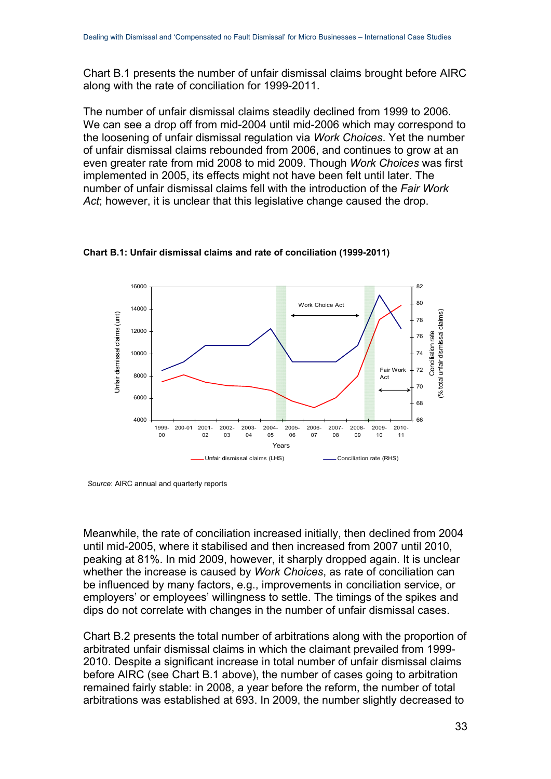Chart B.1 presents the number of unfair dismissal claims brought before AIRC along with the rate of conciliation for 1999-2011.

The number of unfair dismissal claims steadily declined from 1999 to 2006. We can see a drop off from mid-2004 until mid-2006 which may correspond to the loosening of unfair dismissal regulation via *Work Choices*. Yet the number of unfair dismissal claims rebounded from 2006, and continues to grow at an even greater rate from mid 2008 to mid 2009. Though *Work Choices* was first implemented in 2005, its effects might not have been felt until later. The number of unfair dismissal claims fell with the introduction of the *Fair Work Act*; however, it is unclear that this legislative change caused the drop.



**Chart B.1: Unfair dismissal claims and rate of conciliation (1999-2011)** 

Meanwhile, the rate of conciliation increased initially, then declined from 2004 until mid-2005, where it stabilised and then increased from 2007 until 2010, peaking at 81%. In mid 2009, however, it sharply dropped again. It is unclear whether the increase is caused by *Work Choices*, as rate of conciliation can be influenced by many factors, e.g., improvements in conciliation service, or employers' or employees' willingness to settle. The timings of the spikes and dips do not correlate with changes in the number of unfair dismissal cases.

Chart B.2 presents the total number of arbitrations along with the proportion of arbitrated unfair dismissal claims in which the claimant prevailed from 1999- 2010. Despite a significant increase in total number of unfair dismissal claims before AIRC (see Chart B.1 above), the number of cases going to arbitration remained fairly stable: in 2008, a year before the reform, the number of total arbitrations was established at 693. In 2009, the number slightly decreased to

*Source*: AIRC annual and quarterly reports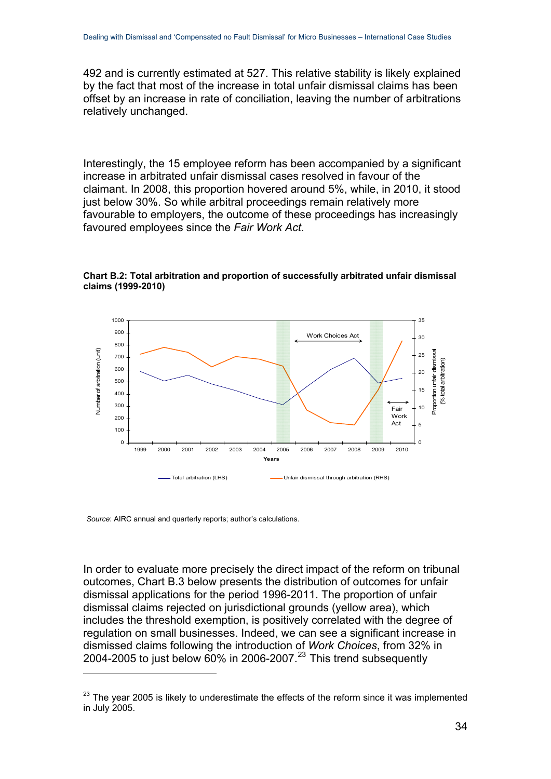492 and is currently estimated at 527. This relative stability is likely explained by the fact that most of the increase in total unfair dismissal claims has been offset by an increase in rate of conciliation, leaving the number of arbitrations relatively unchanged.

Interestingly, the 15 employee reform has been accompanied by a significant increase in arbitrated unfair dismissal cases resolved in favour of the claimant. In 2008, this proportion hovered around 5%, while, in 2010, it stood just below 30%. So while arbitral proceedings remain relatively more favourable to employers, the outcome of these proceedings has increasingly favoured employees since the *Fair Work Act*.



**Chart B.2: Total arbitration and proportion of successfully arbitrated unfair dismissal claims (1999-2010)** 

*Source*: AIRC annual and quarterly reports; author's calculations.

1

In order to evaluate more precisely the direct impact of the reform on tribunal outcomes, Chart B.3 below presents the distribution of outcomes for unfair dismissal applications for the period 1996-2011. The proportion of unfair dismissal claims rejected on jurisdictional grounds (yellow area), which includes the threshold exemption, is positively correlated with the degree of regulation on small businesses. Indeed, we can see a significant increase in dismissed claims following the introduction of *Work Choices*, from 32% in 2004-2005 to just below  $60\%$  in 2006-2007.<sup>[23](#page-33-0)</sup> This trend subsequently

<span id="page-33-0"></span> $23$  The year 2005 is likely to underestimate the effects of the reform since it was implemented in July 2005.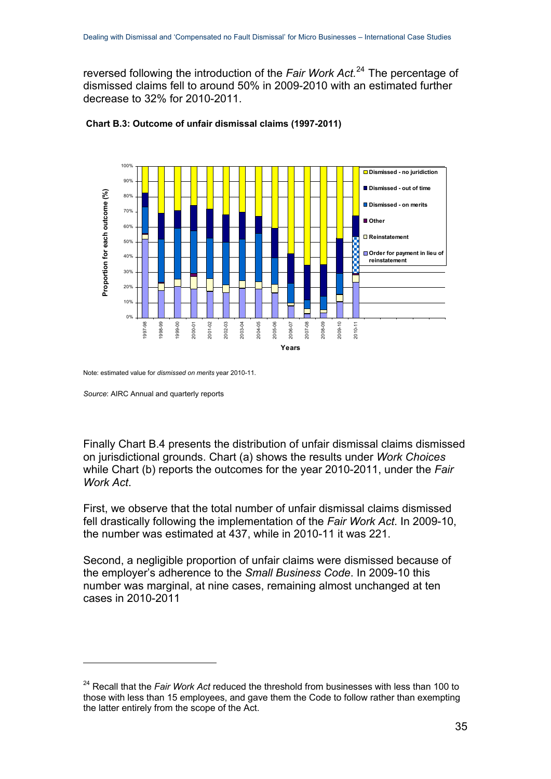reversed following the introduction of the *Fair Work Act.*[24](#page-34-0) The percentage of dismissed claims fell to around 50% in 2009-2010 with an estimated further decrease to 32% for 2010-2011.



#### **Chart B.3: Outcome of unfair dismissal claims (1997-2011)**

Note: estimated value for *dismissed on merits* year 2010-11.

<u>.</u>

Finally Chart B.4 presents the distribution of unfair dismissal claims dismissed on jurisdictional grounds. Chart (a) shows the results under *Work Choices* while Chart (b) reports the outcomes for the year 2010-2011, under the *Fair Work Act*.

First, we observe that the total number of unfair dismissal claims dismissed fell drastically following the implementation of the *Fair Work Act*. In 2009-10, the number was estimated at 437, while in 2010-11 it was 221.

Second, a negligible proportion of unfair claims were dismissed because of the employer's adherence to the *Small Business Code*. In 2009-10 this number was marginal, at nine cases, remaining almost unchanged at ten cases in 2010-2011

*Source*: AIRC Annual and quarterly reports

<span id="page-34-0"></span><sup>&</sup>lt;sup>24</sup> Recall that the *Fair Work Act* reduced the threshold from businesses with less than 100 to those with less than 15 employees, and gave them the Code to follow rather than exempting the latter entirely from the scope of the Act.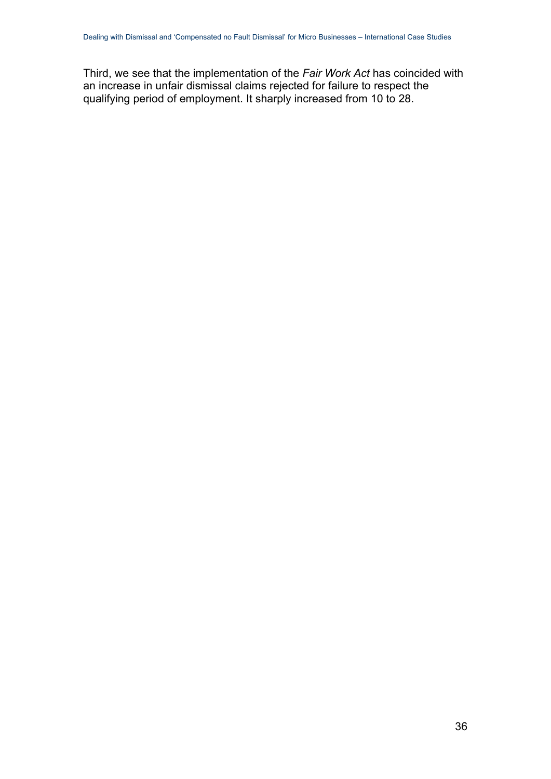Third, we see that the implementation of the *Fair Work Act* has coincided with an increase in unfair dismissal claims rejected for failure to respect the qualifying period of employment. It sharply increased from 10 to 28.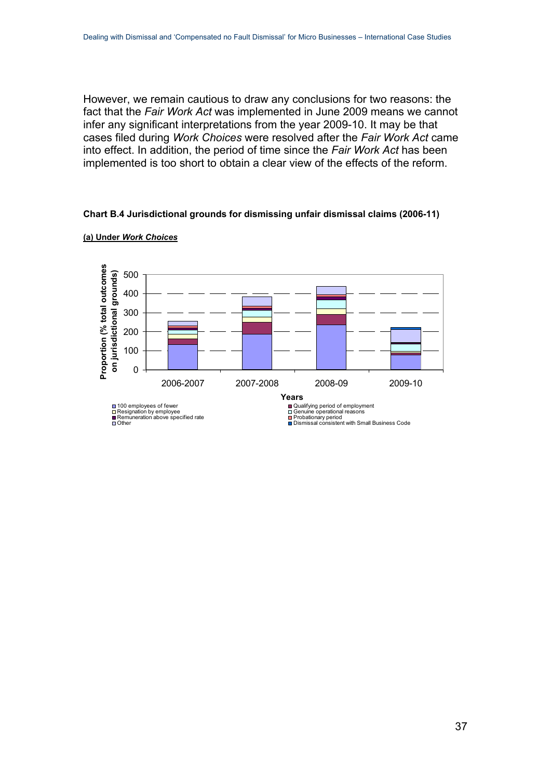However, we remain cautious to draw any conclusions for two reasons: the fact that the *Fair Work Act* was implemented in June 2009 means we cannot infer any significant interpretations from the year 2009-10. It may be that cases filed during *Work Choices* were resolved after the *Fair Work Act* came into effect. In addition, the period of time since the *Fair Work Act* has been implemented is too short to obtain a clear view of the effects of the reform.

#### **Chart B.4 Jurisdictional grounds for dismissing unfair dismissal claims (2006-11)**



**(a) Under** *Work Choices*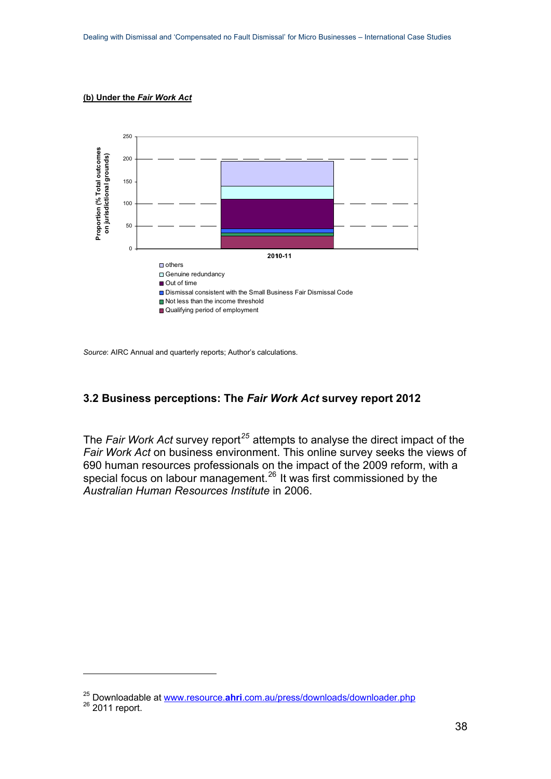#### **(b) Under the** *Fair Work Act*



*Source*: AIRC Annual and quarterly reports; Author's calculations.

#### <span id="page-37-0"></span>**3.2 Business perceptions: The** *Fair Work Act* **survey report 2012**

The *Fair Work Act* survey report*[25](#page-37-1)* attempts to analyse the direct impact of the *Fair Work Act* on business environment. This online survey seeks the views of 690 human resources professionals on the impact of the 2009 reform, with a special focus on labour management.<sup>[26](#page-37-2)</sup> It was first commissioned by the *Australian Human Resources Institute* in 2006.

<span id="page-37-2"></span><span id="page-37-1"></span><sup>&</sup>lt;sup>25</sup> Downloadable at www.resource.**ahri**[.com.au/press/downloads/downloader.php](http://www.resource.ahri.com.au/press/downloads/downloader.php) <sup>26</sup> 2011 report.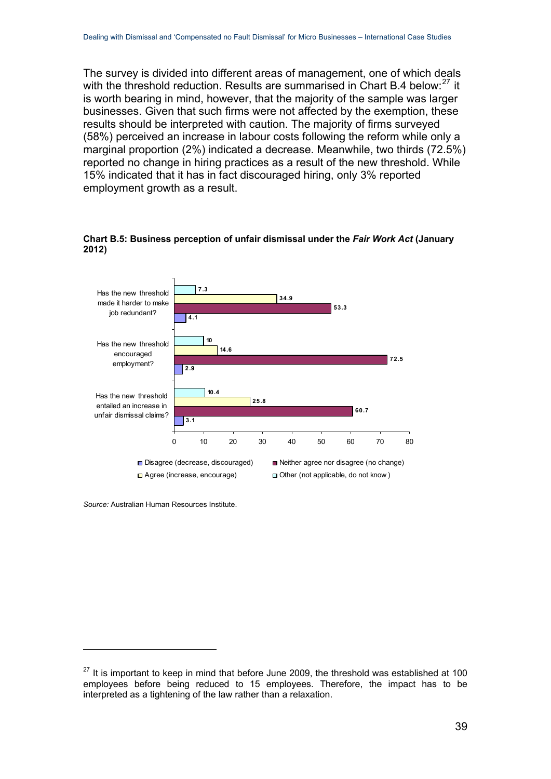The survey is divided into different areas of management, one of which deals with the threshold reduction. Results are summarised in Chart B.4 below:<sup>[27](#page-38-0)</sup> it is worth bearing in mind, however, that the majority of the sample was larger businesses. Given that such firms were not affected by the exemption, these results should be interpreted with caution. The majority of firms surveyed (58%) perceived an increase in labour costs following the reform while only a marginal proportion (2%) indicated a decrease. Meanwhile, two thirds (72.5%) reported no change in hiring practices as a result of the new threshold. While 15% indicated that it has in fact discouraged hiring, only 3% reported employment growth as a result.



**Chart B.5: Business perception of unfair dismissal under the** *Fair Work Act* **(January 2012)** 

*Source:* Australian Human Resources Institute.

<span id="page-38-0"></span> $27$  It is important to keep in mind that before June 2009, the threshold was established at 100 employees before being reduced to 15 employees. Therefore, the impact has to be interpreted as a tightening of the law rather than a relaxation.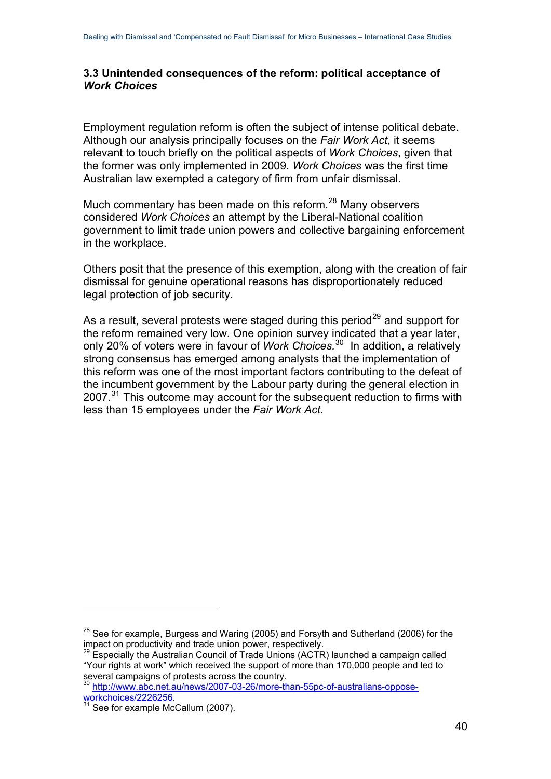#### <span id="page-39-0"></span>**3.3 Unintended consequences of the reform: political acceptance of**  *Work Choices*

Employment regulation reform is often the subject of intense political debate. Although our analysis principally focuses on the *Fair Work Act*, it seems relevant to touch briefly on the political aspects of *Work Choices*, given that the former was only implemented in 2009. *Work Choices* was the first time Australian law exempted a category of firm from unfair dismissal.

Much commentary has been made on this reform.<sup>[28](#page-39-1)</sup> Many observers considered *Work Choices* an attempt by the Liberal-National coalition government to limit trade union powers and collective bargaining enforcement in the workplace.

Others posit that the presence of this exemption, along with the creation of fair dismissal for genuine operational reasons has disproportionately reduced legal protection of job security.

As a result, several protests were staged during this period<sup>[29](#page-39-2)</sup> and support for the reform remained very low. One opinion survey indicated that a year later, only 20% of voters were in favour of *Work Choices.*[30](#page-39-3) In addition, a relatively strong consensus has emerged among analysts that the implementation of this reform was one of the most important factors contributing to the defeat of the incumbent government by the Labour party during the general election in 2007.<sup>[31](#page-39-4)</sup> This outcome may account for the subsequent reduction to firms with less than 15 employees under the *Fair Work Act.*

<span id="page-39-1"></span> $28$  See for example, Burgess and Waring (2005) and Forsyth and Sutherland (2006) for the impact on productivity and trade union power, respectively.

<span id="page-39-2"></span> $29$  Especially the Australian Council of Trade Unions (ACTR) launched a campaign called "Your rights at work" which received the support of more than 170,000 people and led to several campaigns of protests across the country.

<span id="page-39-3"></span><sup>&</sup>lt;sup>30</sup> [http://www.abc.net.au/news/2007-03-26/more-than-55pc-of-australians-oppose](http://www.abc.net.au/news/2007-03-26/more-than-55pc-of-australians-oppose-workchoices/2226256)[workchoices/2226256.](http://www.abc.net.au/news/2007-03-26/more-than-55pc-of-australians-oppose-workchoices/2226256)<br><sup>31</sup> See for example McCallum (2007).

<span id="page-39-4"></span>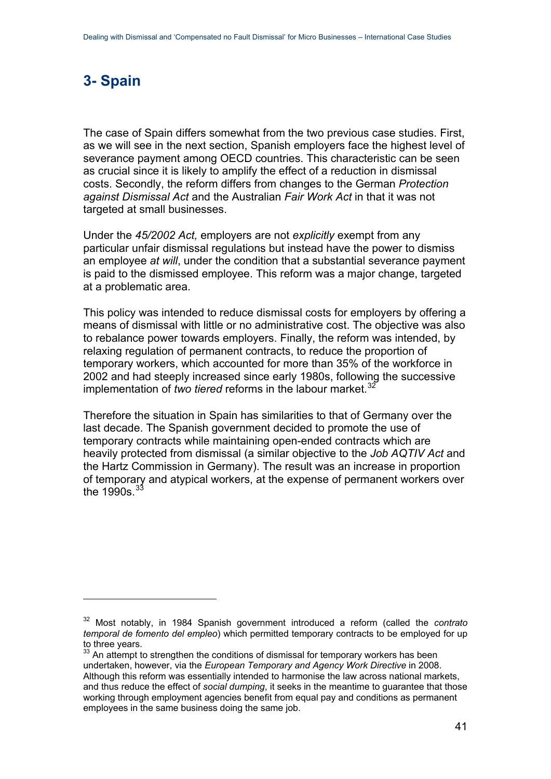# <span id="page-40-0"></span>**3- Spain**

1

The case of Spain differs somewhat from the two previous case studies. First, as we will see in the next section, Spanish employers face the highest level of severance payment among OECD countries. This characteristic can be seen as crucial since it is likely to amplify the effect of a reduction in dismissal costs. Secondly, the reform differs from changes to the German *Protection against Dismissal Act* and the Australian *Fair Work Act* in that it was not targeted at small businesses.

Under the *45/2002 Act,* employers are not *explicitly* exempt from any particular unfair dismissal regulations but instead have the power to dismiss an employee *at will*, under the condition that a substantial severance payment is paid to the dismissed employee. This reform was a major change, targeted at a problematic area.

This policy was intended to reduce dismissal costs for employers by offering a means of dismissal with little or no administrative cost. The objective was also to rebalance power towards employers. Finally, the reform was intended, by relaxing regulation of permanent contracts, to reduce the proportion of temporary workers, which accounted for more than 35% of the workforce in 2002 and had steeply increased since early 1980s, following the successive implementation of *two tiered* reforms in the labour market.<sup>[32](#page-40-1)</sup>

Therefore the situation in Spain has similarities to that of Germany over the last decade. The Spanish government decided to promote the use of temporary contracts while maintaining open-ended contracts which are heavily protected from dismissal (a similar objective to the *Job AQTIV Act* and the Hartz Commission in Germany). The result was an increase in proportion of temporary and atypical workers, at the expense of permanent workers over the  $1990s^{33}$  $1990s^{33}$  $1990s^{33}$ 

<span id="page-40-1"></span><sup>32</sup> Most notably, in 1984 Spanish government introduced a reform (called the *contrato temporal de fomento del empleo*) which permitted temporary contracts to be employed for up to three years.

<span id="page-40-2"></span><sup>&</sup>lt;sup>33</sup> An attempt to strengthen the conditions of dismissal for temporary workers has been undertaken, however, via the *European Temporary and Agency Work Directive* in 2008. Although this reform was essentially intended to harmonise the law across national markets, and thus reduce the effect of *social dumping*, it seeks in the meantime to guarantee that those working through employment agencies benefit from equal pay and conditions as permanent employees in the same business doing the same job.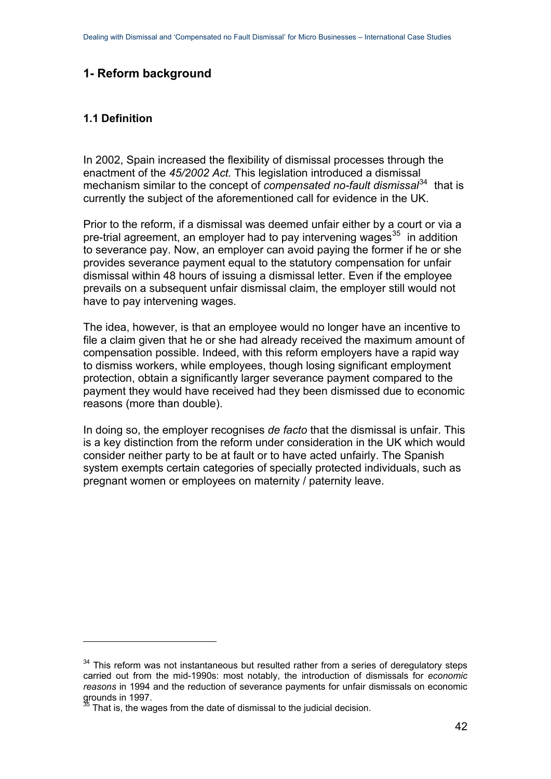## <span id="page-41-0"></span>**1- Reform background**

#### <span id="page-41-1"></span>**1.1 Definition**

1

In 2002, Spain increased the flexibility of dismissal processes through the enactment of the *45/2002 Act.* This legislation introduced a dismissal mechanism similar to the concept of *compensated no-fault dismissal*<sup>[34](#page-41-2)</sup> that is currently the subject of the aforementioned call for evidence in the UK.

Prior to the reform, if a dismissal was deemed unfair either by a court or via a pre-trial agreement, an employer had to pay intervening wages<sup>[35](#page-41-3)</sup> in addition to severance pay. Now, an employer can avoid paying the former if he or she provides severance payment equal to the statutory compensation for unfair dismissal within 48 hours of issuing a dismissal letter. Even if the employee prevails on a subsequent unfair dismissal claim, the employer still would not have to pay intervening wages.

The idea, however, is that an employee would no longer have an incentive to file a claim given that he or she had already received the maximum amount of compensation possible. Indeed, with this reform employers have a rapid way to dismiss workers, while employees, though losing significant employment protection, obtain a significantly larger severance payment compared to the payment they would have received had they been dismissed due to economic reasons (more than double).

In doing so, the employer recognises *de facto* that the dismissal is unfair. This is a key distinction from the reform under consideration in the UK which would consider neither party to be at fault or to have acted unfairly. The Spanish system exempts certain categories of specially protected individuals, such as pregnant women or employees on maternity / paternity leave.

<span id="page-41-2"></span><sup>&</sup>lt;sup>34</sup> This reform was not instantaneous but resulted rather from a series of deregulatory steps carried out from the mid-1990s: most notably, the introduction of dismissals for *economic reasons* in 1994 and the reduction of severance payments for unfair dismissals on economic grounds in 1997.

<span id="page-41-3"></span>That is, the wages from the date of dismissal to the judicial decision.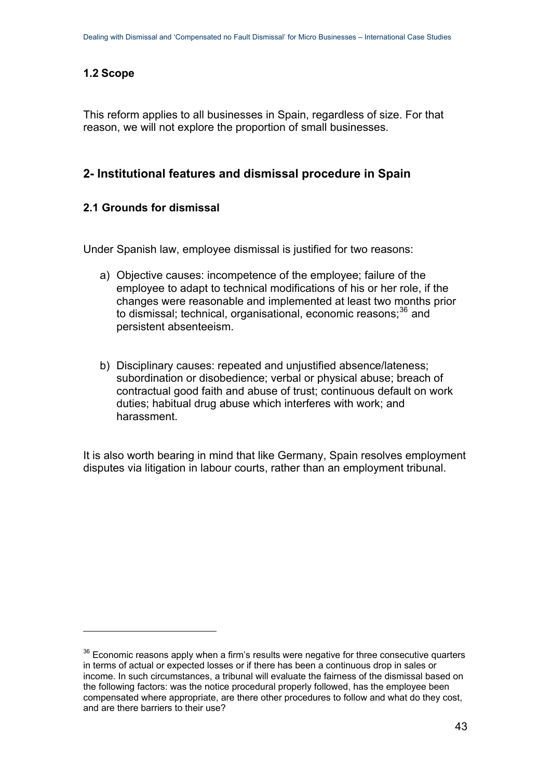## <span id="page-42-0"></span>**1.2 Scope**

1

This reform applies to all businesses in Spain, regardless of size. For that reason, we will not explore the proportion of small businesses.

## <span id="page-42-1"></span>**2- Institutional features and dismissal procedure in Spain**

### <span id="page-42-2"></span>**2.1 Grounds for dismissal**

Under Spanish law, employee dismissal is justified for two reasons:

- a) Objective causes: incompetence of the employee; failure of the employee to adapt to technical modifications of his or her role, if the changes were reasonable and implemented at least two months prior to dismissal; technical, organisational, economic reasons;<sup>[36](#page-42-3)</sup> and persistent absenteeism.
- b) Disciplinary causes: repeated and unjustified absence/lateness; subordination or disobedience; verbal or physical abuse; breach of contractual good faith and abuse of trust; continuous default on work duties; habitual drug abuse which interferes with work; and harassment.

It is also worth bearing in mind that like Germany, Spain resolves employment disputes via litigation in labour courts, rather than an employment tribunal.

<span id="page-42-3"></span><sup>&</sup>lt;sup>36</sup> Economic reasons apply when a firm's results were negative for three consecutive quarters in terms of actual or expected losses or if there has been a continuous drop in sales or income. In such circumstances, a tribunal will evaluate the fairness of the dismissal based on the following factors: was the notice procedural properly followed, has the employee been compensated where appropriate, are there other procedures to follow and what do they cost, and are there barriers to their use?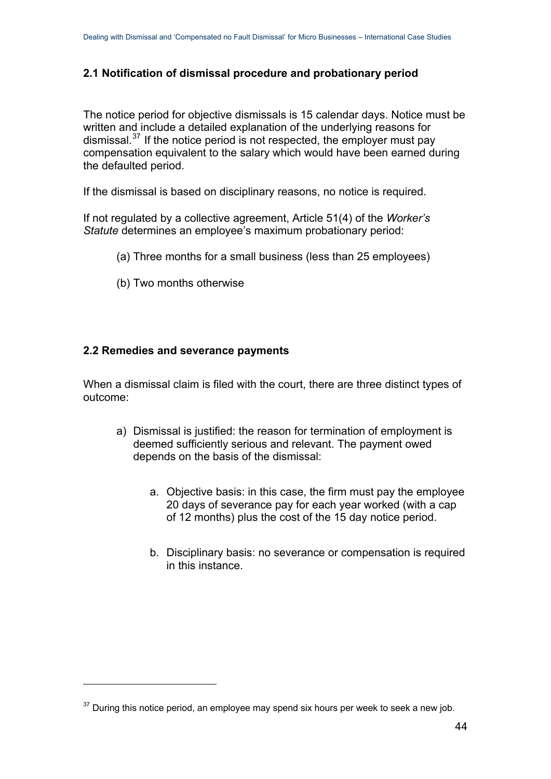## <span id="page-43-0"></span>**2.1 Notification of dismissal procedure and probationary period**

The notice period for objective dismissals is 15 calendar days. Notice must be written and include a detailed explanation of the underlying reasons for dismissal.[37](#page-43-2) If the notice period is not respected, the employer must pay compensation equivalent to the salary which would have been earned during the defaulted period.

If the dismissal is based on disciplinary reasons, no notice is required.

If not regulated by a collective agreement, Article 51(4) of the *Worker's Statute* determines an employee's maximum probationary period:

- (a) Three months for a small business (less than 25 employees)
- (b) Two months otherwise

#### <span id="page-43-1"></span>**2.2 Remedies and severance payments**

1

When a dismissal claim is filed with the court, there are three distinct types of outcome:

- a) Dismissal is justified: the reason for termination of employment is deemed sufficiently serious and relevant. The payment owed depends on the basis of the dismissal:
	- a. Objective basis: in this case, the firm must pay the employee 20 days of severance pay for each year worked (with a cap of 12 months) plus the cost of the 15 day notice period.
	- b. Disciplinary basis: no severance or compensation is required in this instance.

<span id="page-43-2"></span> $37$  During this notice period, an employee may spend six hours per week to seek a new job.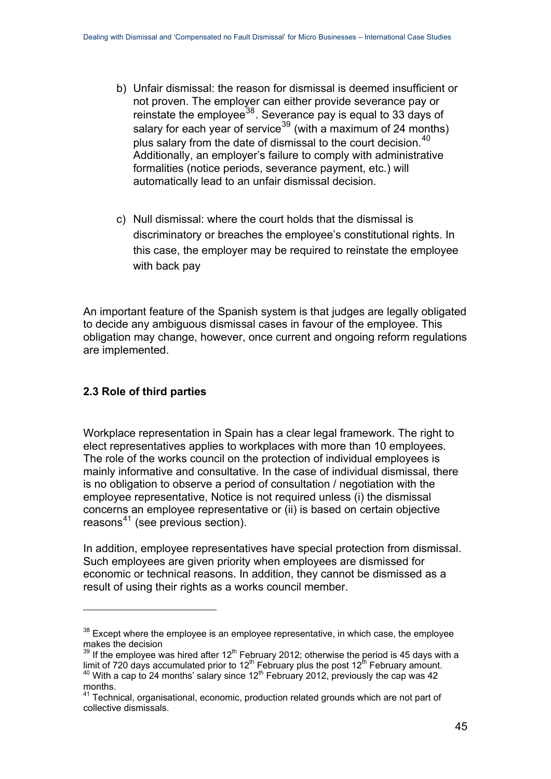- b) Unfair dismissal: the reason for dismissal is deemed insufficient or not proven. The employer can either provide severance pay or reinstate the employee<sup>[38](#page-44-1)</sup>. Severance pay is equal to 33 days of salary for each year of service<sup>[39](#page-44-2)</sup> (with a maximum of 24 months) plus salary from the date of dismissal to the court decision.  $40$ Additionally, an employer's failure to comply with administrative formalities (notice periods, severance payment, etc.) will automatically lead to an unfair dismissal decision.
- c) Null dismissal: where the court holds that the dismissal is discriminatory or breaches the employee's constitutional rights. In this case, the employer may be required to reinstate the employee with back pay

An important feature of the Spanish system is that judges are legally obligated to decide any ambiguous dismissal cases in favour of the employee. This obligation may change, however, once current and ongoing reform regulations are implemented.

## <span id="page-44-0"></span>**2.3 Role of third parties**

Workplace representation in Spain has a clear legal framework. The right to elect representatives applies to workplaces with more than 10 employees. The role of the works council on the protection of individual employees is mainly informative and consultative. In the case of individual dismissal, there is no obligation to observe a period of consultation / negotiation with the employee representative, Notice is not required unless (i) the dismissal concerns an employee representative or (ii) is based on certain objective reasons<sup>[41](#page-44-4)</sup> (see previous section).

In addition, employee representatives have special protection from dismissal. Such employees are given priority when employees are dismissed for economic or technical reasons. In addition, they cannot be dismissed as a result of using their rights as a works council member.

<span id="page-44-1"></span> $38$  Except where the employee is an employee representative, in which case, the employee makes the decision

<span id="page-44-2"></span> $39$  If the employee was hired after 12<sup>th</sup> February 2012; otherwise the period is 45 days with a limit of 720 days accumulated prior to 12<sup>th</sup> February plus the post 12<sup>th</sup> February amount.<br><sup>40</sup> With a cap to 24 months' salary since 12<sup>th</sup> February 2012, previously the cap was 42

<span id="page-44-4"></span><span id="page-44-3"></span>months.

<sup>&</sup>lt;sup>41</sup> Technical, organisational, economic, production related grounds which are not part of collective dismissals.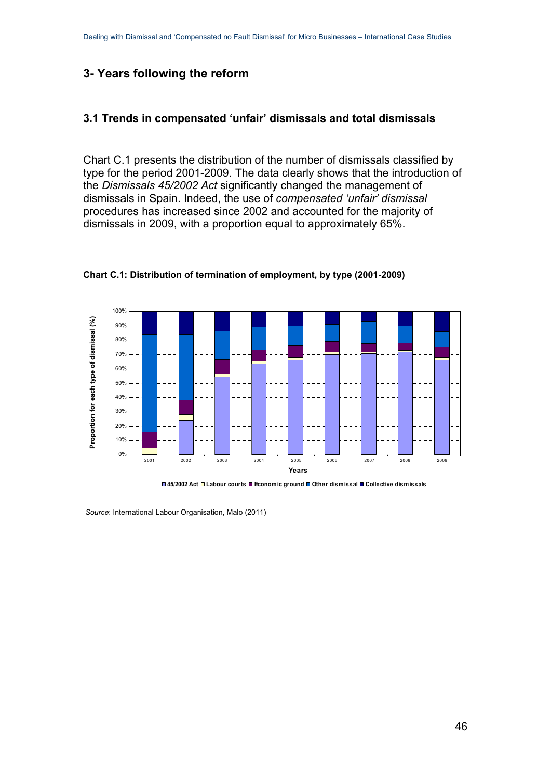## <span id="page-45-0"></span>**3- Years following the reform**

#### <span id="page-45-1"></span>**3.1 Trends in compensated 'unfair' dismissals and total dismissals**

Chart C.1 presents the distribution of the number of dismissals classified by type for the period 2001-2009. The data clearly shows that the introduction of the *Dismissals 45/2002 Act* significantly changed the management of dismissals in Spain. Indeed, the use of *compensated 'unfair' dismissal* procedures has increased since 2002 and accounted for the majority of dismissals in 2009, with a proportion equal to approximately 65%.



**Chart C.1: Distribution of termination of employment, by type (2001-2009)** 

**45/2002 Act Labour courts Economic ground Other dismissal Collective dismissals**

 *Source*: International Labour Organisation, Malo (2011)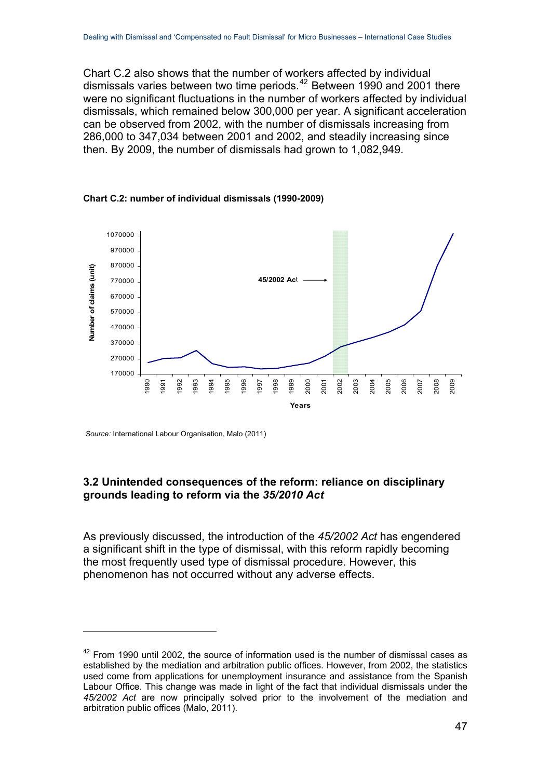Chart C.2 also shows that the number of workers affected by individual dismissals varies between two time periods.<sup>[42](#page-46-1)</sup> Between 1990 and 2001 there were no significant fluctuations in the number of workers affected by individual dismissals, which remained below 300,000 per year. A significant acceleration can be observed from 2002, with the number of dismissals increasing from 286,000 to 347,034 between 2001 and 2002, and steadily increasing since then. By 2009, the number of dismissals had grown to 1,082,949.





 *Source:* International Labour Organisation, Malo (2011)

1

### <span id="page-46-0"></span>**3.2 Unintended consequences of the reform: reliance on disciplinary grounds leading to reform via the** *35/2010 Act*

As previously discussed, the introduction of the *45/2002 Act* has engendered a significant shift in the type of dismissal, with this reform rapidly becoming the most frequently used type of dismissal procedure. However, this phenomenon has not occurred without any adverse effects.

<span id="page-46-1"></span> $42$  From 1990 until 2002, the source of information used is the number of dismissal cases as established by the mediation and arbitration public offices. However, from 2002, the statistics used come from applications for unemployment insurance and assistance from the Spanish Labour Office. This change was made in light of the fact that individual dismissals under the *45/2002 Act* are now principally solved prior to the involvement of the mediation and arbitration public offices (Malo, 2011).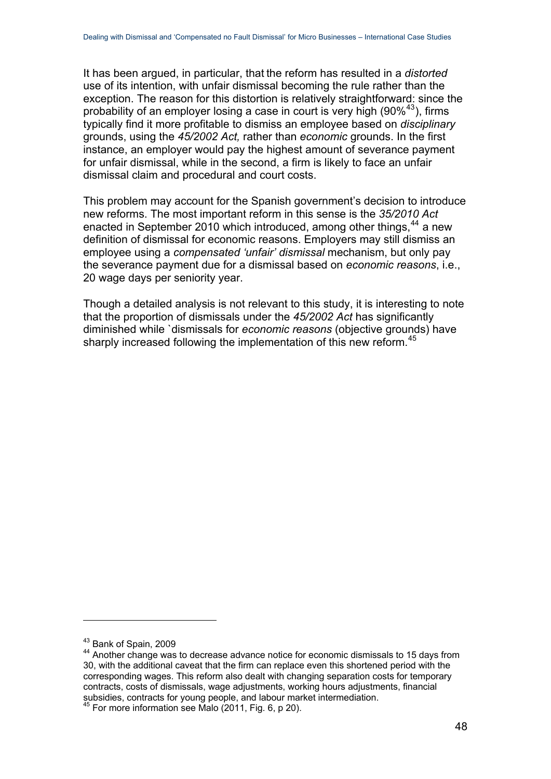It has been argued, in particular, that the reform has resulted in a *distorted* use of its intention, with unfair dismissal becoming the rule rather than the exception. The reason for this distortion is relatively straightforward: since the probability of an employer losing a case in court is very high  $(90\%^{43})$  $(90\%^{43})$  $(90\%^{43})$ , firms typically find it more profitable to dismiss an employee based on *disciplinary* grounds, using the *45/2002 Act,* rather than *economic* grounds. In the first instance, an employer would pay the highest amount of severance payment for unfair dismissal, while in the second, a firm is likely to face an unfair dismissal claim and procedural and court costs.

This problem may account for the Spanish government's decision to introduce new reforms. The most important reform in this sense is the *35/2010 Act* enacted in September 2010 which introduced, among other things,<sup>[44](#page-47-1)</sup> a new definition of dismissal for economic reasons. Employers may still dismiss an employee using a *compensated 'unfair' dismissal* mechanism, but only pay the severance payment due for a dismissal based on *economic reasons*, i.e., 20 wage days per seniority year.

Though a detailed analysis is not relevant to this study, it is interesting to note that the proportion of dismissals under the *45/2002 Act* has significantly diminished while `dismissals for *economic reasons* (objective grounds) have sharply increased following the implementation of this new reform.<sup>[45](#page-47-2)</sup>

<span id="page-47-1"></span><span id="page-47-0"></span> $43$  Bank of Spain, 2009<br> $44$  Another change was to decrease advance notice for economic dismissals to 15 days from 30, with the additional caveat that the firm can replace even this shortened period with the corresponding wages. This reform also dealt with changing separation costs for temporary contracts, costs of dismissals, wage adjustments, working hours adjustments, financial subsidies, contracts for young people, and labour market intermediation.

<span id="page-47-2"></span> $45$  For more information see Malo  $(2011,$  Fig. 6, p 20).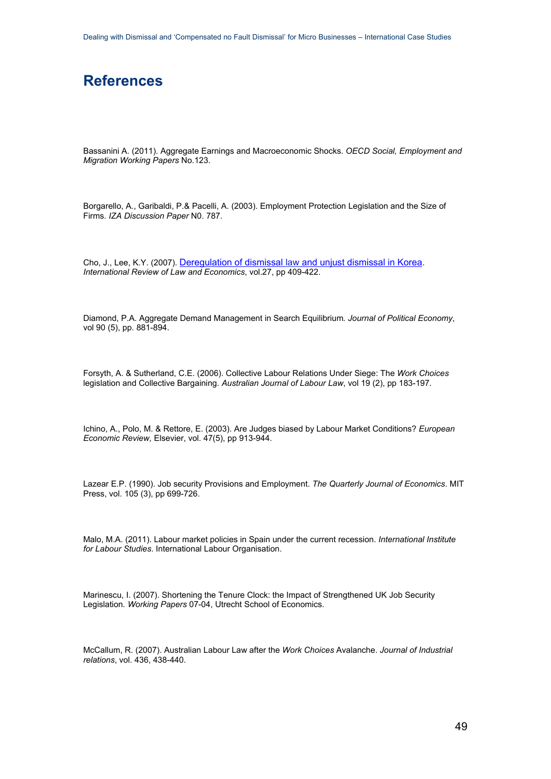## <span id="page-48-0"></span>**References**

Bassanini A. (2011). Aggregate Earnings and Macroeconomic Shocks. *OECD Social, Employment and Migration Working Papers* No.123.

Borgarello, A., Garibaldi, P.& Pacelli, A. (2003). Employment Protection Legislation and the Size of Firms. *IZA Discussion Paper* N0. 787.

Cho, J., Lee, K.Y. (2007). [Deregulation of dismissal law and unjust dismissal in Korea](http://www.google.co.uk/url?sa=t&rct=j&q=cho%20lee%202007%20journal%20of%20law%20and%20economics&source=web&cd=4&ved=0CGEQFjAD&url=http%3A%2F%2Fwww.egov.ufsc.br%2Fportal%2Fsites%2Fdefault%2Ffiles%2Fanexos%2F32975-41258-1-PB.pdf&ei=bh6pT6mCBJOf8gP3lpi3Dw&usg=AFQjCNEGSOuRFxWCmF8r5etg_PQcui1znA). *International Review of Law and Economics*, vol.27, pp 409-422.

Diamond, P.A. Aggregate Demand Management in Search Equilibrium*. Journal of Political Economy*, vol 90 (5), pp. 881-894.

Forsyth, A. & Sutherland, C.E. (2006). Collective Labour Relations Under Siege: The *Work Choices* legislation and Collective Bargaining. *Australian Journal of Labour Law*, vol 19 (2), pp 183-197.

Ichino, A., Polo, M. & Rettore, E. (2003). Are Judges biased by Labour Market Conditions? *European Economic Review,* Elsevier, vol. 47(5), pp 913-944.

Lazear E.P. (1990). Job security Provisions and Employment. *The Quarterly Journal of Economics*. MIT Press, vol. 105 (3), pp 699-726.

Malo, M.A. (2011). Labour market policies in Spain under the current recession. *International Institute for Labour Studies*. International Labour Organisation.

Marinescu, I. (2007). Shortening the Tenure Clock: the Impact of Strengthened UK Job Security Legislation*. Working Papers* 07-04, Utrecht School of Economics.

McCallum, R. (2007). Australian Labour Law after the *Work Choices* Avalanche. *Journal of Industrial relations*, vol. 436, 438-440.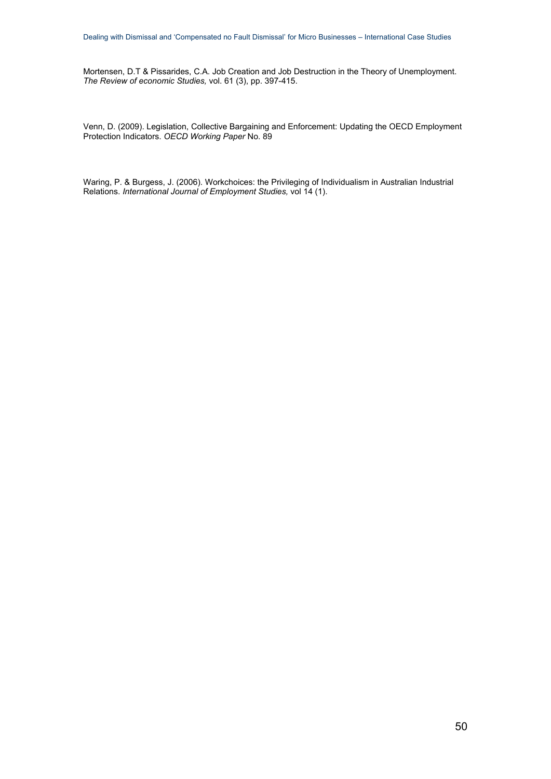Mortensen, D.T & Pissarides, C.A. Job Creation and Job Destruction in the Theory of Unemployment. *The Review of economic Studies,* vol. 61 (3), pp. 397-415.

Venn, D. (2009). Legislation, Collective Bargaining and Enforcement: Updating the OECD Employment Protection Indicators. *OECD Working Paper* No. 89

Waring, P. & Burgess, J. (2006). Workchoices: the Privileging of Individualism in Australian Industrial Relations. *International Journal of Employment Studies,* vol 14 (1).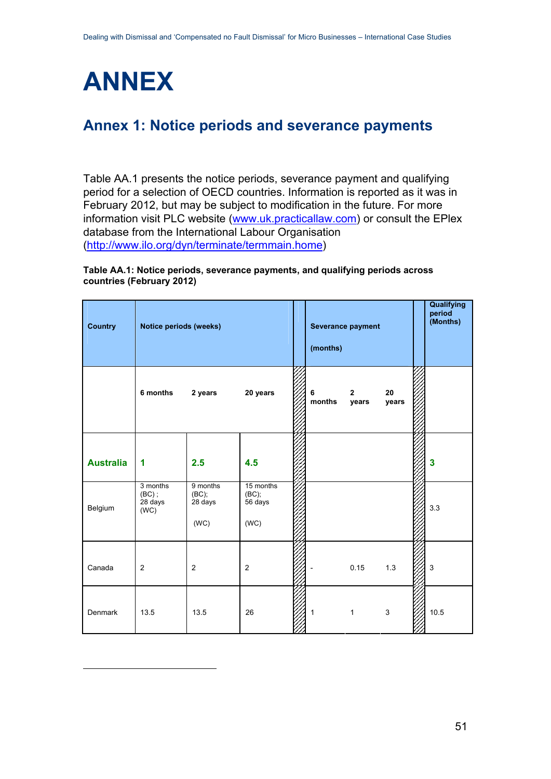<span id="page-50-0"></span>

<span id="page-50-3"></span><span id="page-50-2"></span>1

# <span id="page-50-1"></span>**Annex 1: Notice periods and severance payments**

Table AA.1 presents the notice periods, severance payment and qualifying period for a selection of OECD countries. Information is reported as it was in February 2012, but may be subject to modification in the future. For more information visit PLC website [\(www.uk.practicallaw.com](http://www.uk.practicallaw.com/)) or consult the EPlex database from the International Labour Organisation ([http://www.ilo.org/dyn/terminate/termmain.home\)](http://www.ilo.org/dyn/terminate/termmain.home)

#### **Table AA.1: Notice periods, severance payments, and qualifying periods across countries (February 2012)**

| <b>Country</b>   | Notice periods (weeks)                  |                                      |                                       | Severance payment<br>(months) |                         |                | Qualifying<br>period<br>(Months) |
|------------------|-----------------------------------------|--------------------------------------|---------------------------------------|-------------------------------|-------------------------|----------------|----------------------------------|
|                  | 6 months                                | 2 years                              | 20 years                              | 6<br>months                   | $\overline{2}$<br>years | 20<br>years    |                                  |
| <b>Australia</b> | 1                                       | 2.5                                  | 4.5                                   |                               |                         |                | 3                                |
| Belgium          | 3 months<br>$(BC)$ ;<br>28 days<br>(WC) | 9 months<br>(BC);<br>28 days<br>(WC) | 15 months<br>(BC);<br>56 days<br>(WC) |                               |                         |                | 3.3                              |
| Canada           | $\overline{c}$                          | $\overline{c}$                       | $\overline{c}$                        |                               | 0.15                    | 1.3            | 3                                |
| Denmark          | 13.5                                    | 13.5                                 | 26                                    | 1                             | $\mathbf{1}$            | $\mathfrak{S}$ | 10.5                             |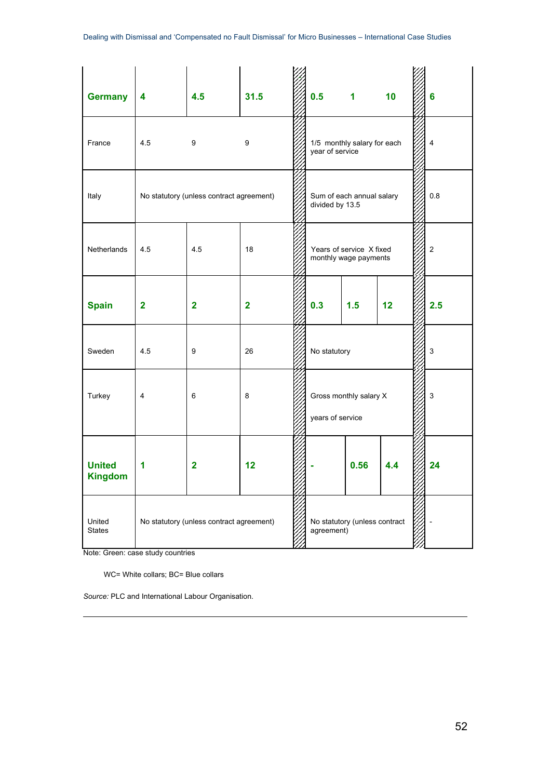| <b>Germany</b>                  | 4                                                                                        | 4.5            | 31.5                    |  | 0.5                                        | $\overline{1}$                                    | 10  | 6                       |
|---------------------------------|------------------------------------------------------------------------------------------|----------------|-------------------------|--|--------------------------------------------|---------------------------------------------------|-----|-------------------------|
| France                          | 4.5                                                                                      | 9              | 9                       |  | year of service                            | 1/5 monthly salary for each                       |     | $\overline{\mathbf{4}}$ |
| Italy                           | Sum of each annual salary<br>No statutory (unless contract agreement)<br>divided by 13.5 |                |                         |  | 0.8                                        |                                                   |     |                         |
| Netherlands                     | 4.5                                                                                      | 4.5            | 18                      |  |                                            | Years of service X fixed<br>monthly wage payments |     | $\overline{2}$          |
| <b>Spain</b>                    | $\overline{\mathbf{2}}$                                                                  | $\overline{2}$ | $\overline{\mathbf{2}}$ |  | 0.3                                        | 1.5                                               | 12  | 2.5                     |
| Sweden                          | 4.5                                                                                      | 9              | 26                      |  | No statutory                               |                                                   |     | 3                       |
| Turkey                          | $\overline{4}$                                                                           | 6              | 8                       |  | Gross monthly salary X<br>years of service |                                                   | 3   |                         |
| <b>United</b><br><b>Kingdom</b> | 1                                                                                        | $\overline{2}$ | 12                      |  |                                            | 0.56                                              | 4.4 | 24                      |
| United<br><b>States</b>         | No statutory (unless contract agreement)                                                 |                |                         |  | agreement)                                 | No statutory (unless contract                     |     |                         |

Note: Green: case study countries

<span id="page-51-0"></span>1

WC= White collars; BC= Blue collars

*Source:* PLC and International Labour Organisation.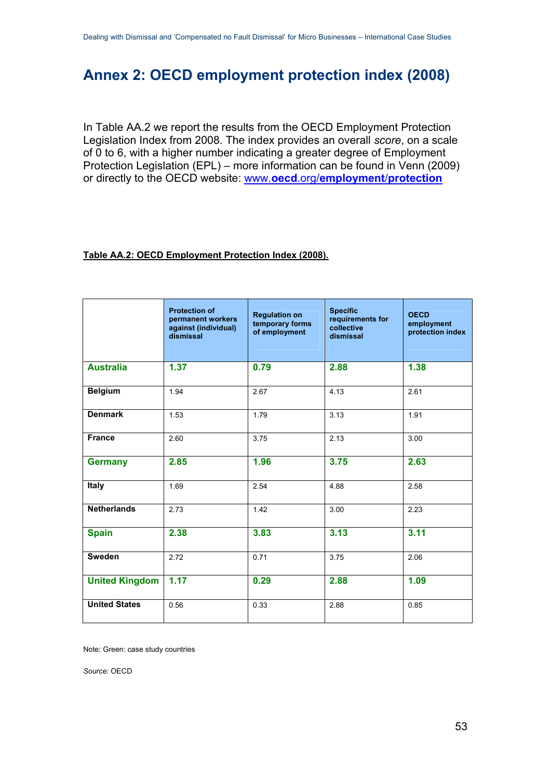# <span id="page-52-0"></span>**Annex 2: OECD employment protection index (2008)**

In Table AA.2 we report the results from the OECD Employment Protection Legislation Index from 2008. The index provides an overall *score*, on a scale of 0 to 6, with a higher number indicating a greater degree of Employment Protection Legislation (EPL) – more information can be found in Venn (2009) or directly to the OECD website: www.**oecd**.org/**[employment](http://www.oecd.org/document/11/0,3746,en_2649_37457_42695243_1_1_1_37457,00.html)**/**protection**

#### **Table AA.2: OECD Employment Protection Index (2008).**

|                       | <b>Protection of</b><br>permanent workers<br>against (individual)<br>dismissal | <b>Regulation on</b><br>temporary forms<br>of employment | <b>Specific</b><br>requirements for<br>collective<br>dismissal | <b>OECD</b><br>employment<br>protection index |
|-----------------------|--------------------------------------------------------------------------------|----------------------------------------------------------|----------------------------------------------------------------|-----------------------------------------------|
| <b>Australia</b>      | 1.37                                                                           | 0.79                                                     | 2.88                                                           | 1.38                                          |
| <b>Belgium</b>        | 1.94                                                                           | 2.67                                                     | 4.13                                                           | 2.61                                          |
| <b>Denmark</b>        | 1.53                                                                           | 1.79                                                     | 3.13                                                           | 1.91                                          |
| <b>France</b>         | 2.60                                                                           | 3.75                                                     | 2.13                                                           | 3.00                                          |
| <b>Germany</b>        | 2.85                                                                           | 1.96                                                     | 3.75                                                           | 2.63                                          |
| <b>Italy</b>          | 1.69                                                                           | 2.54                                                     | 4.88                                                           | 2.58                                          |
| <b>Netherlands</b>    | 2.73                                                                           | 1.42                                                     | 3.00                                                           | 2.23                                          |
| <b>Spain</b>          | 2.38                                                                           | 3.83                                                     | 3.13                                                           | 3.11                                          |
| Sweden                | 2.72                                                                           | 0.71                                                     | 3.75                                                           | 2.06                                          |
| <b>United Kingdom</b> | 1.17                                                                           | 0.29                                                     | 2.88                                                           | 1.09                                          |
| <b>United States</b>  | 0.56                                                                           | 0.33                                                     | 2.88                                                           | 0.85                                          |

Note: Green: case study countries

*Source*: OECD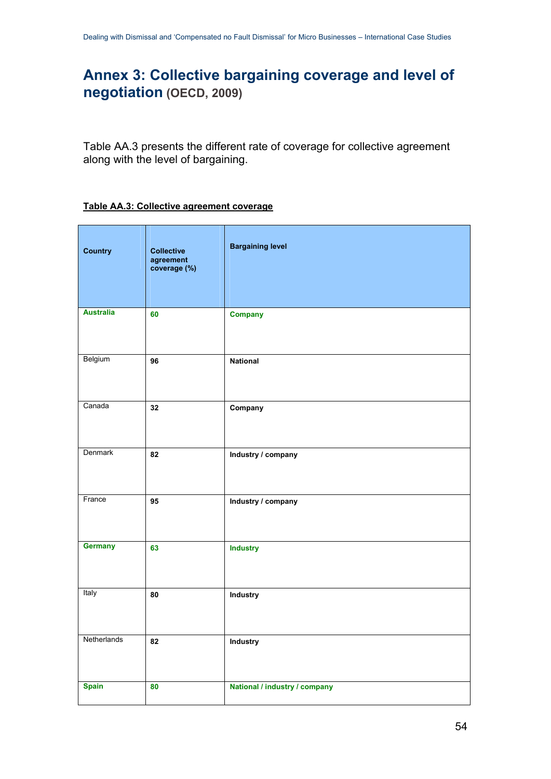# <span id="page-53-0"></span>**Annex 3: Collective bargaining coverage and level of negotiation (OECD, 2009)**

Table AA.3 presents the different rate of coverage for collective agreement along with the level of bargaining.

#### **Table AA.3: Collective agreement coverage**

| <b>Country</b>   | <b>Collective</b><br>agreement<br>coverage (%) | <b>Bargaining level</b>       |
|------------------|------------------------------------------------|-------------------------------|
| <b>Australia</b> | 60                                             | <b>Company</b>                |
| Belgium          | 96                                             | <b>National</b>               |
| Canada           | 32                                             | Company                       |
| Denmark          | 82                                             | Industry / company            |
| France           | 95                                             | Industry / company            |
| Germany          | 63                                             | <b>Industry</b>               |
| Italy            | 80                                             | Industry                      |
| Netherlands      | 82                                             | <b>Industry</b>               |
| <b>Spain</b>     | 80                                             | National / industry / company |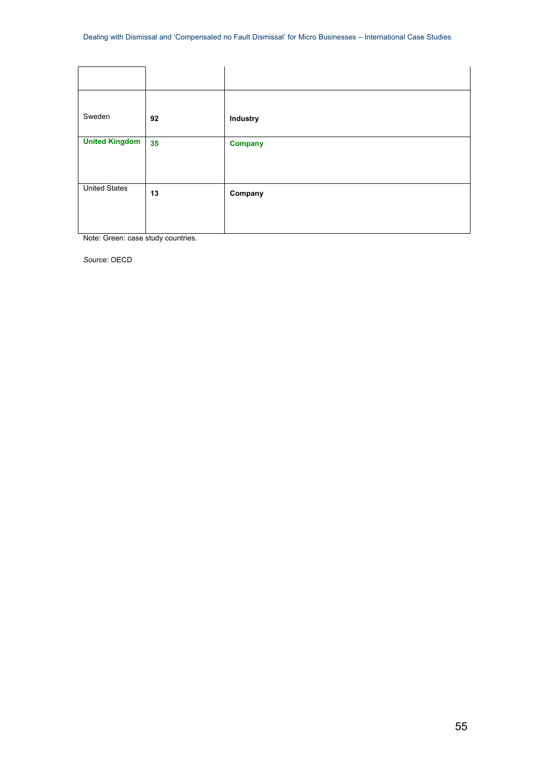| Sweden                | 92 | Industry       |
|-----------------------|----|----------------|
| <b>United Kingdom</b> | 35 | <b>Company</b> |
| <b>United States</b>  | 13 | Company        |

Note: Green: case study countries.

*Source:* OECD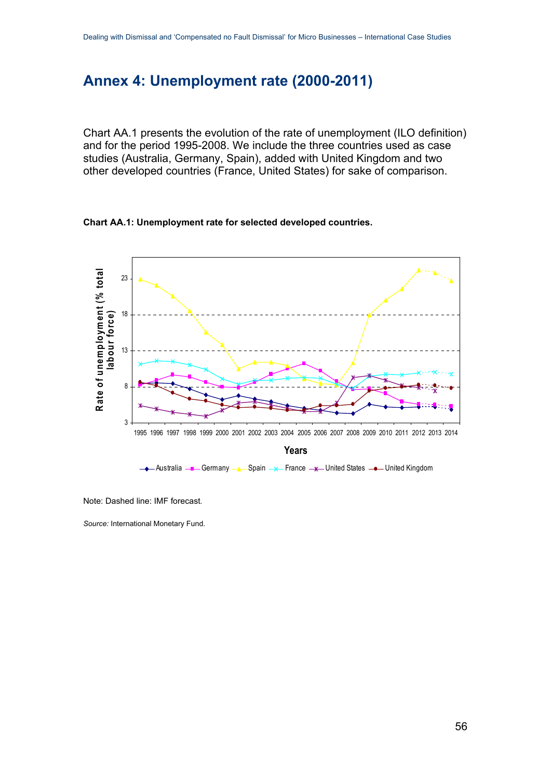# <span id="page-55-0"></span>**Annex 4: Unemployment rate (2000-2011)**

Chart AA.1 presents the evolution of the rate of unemployment (ILO definition) and for the period 1995-2008. We include the three countries used as case studies (Australia, Germany, Spain), added with United Kingdom and two other developed countries (France, United States) for sake of comparison.





Note: Dashed line: IMF forecast*.* 

*Source:* International Monetary Fund.